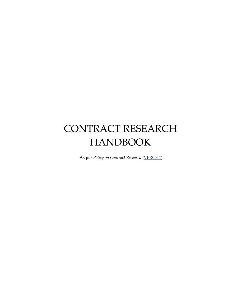# CONTRACT RESEARCH **HANDBOOK**

**As per** *Policy on Contract Research* [\(VPRGS-1\)](http://www.concordia.ca/content/dam/common/docs/policies/official-policies/VPRGS-1.pdf)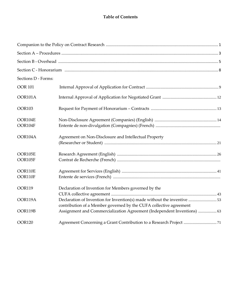# **Table of Contents**

| Sections D - Forms: |                                                                                                                                                |
|---------------------|------------------------------------------------------------------------------------------------------------------------------------------------|
| <b>OOR 101</b>      |                                                                                                                                                |
| OOR101A             |                                                                                                                                                |
| OOR103              |                                                                                                                                                |
| OOR104E<br>OOR104F  |                                                                                                                                                |
| OOR104A             | Agreement on Non-Disclosure and Intellectual Property                                                                                          |
| OOR105E<br>OOR105F  |                                                                                                                                                |
| OOR110E<br>OOR110F  |                                                                                                                                                |
| OOR119              | Declaration of Invention for Members governed by the                                                                                           |
| OOR119A             | Declaration of Invention for Invention(s) made without the inventive  53<br>contribution of a Member governed by the CUFA collective agreement |
| OOR119B             | Assignment and Commercialization Agreement (Independent Inventions)  63                                                                        |
| OOR120              |                                                                                                                                                |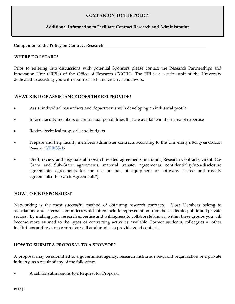### **COMPANION TO THE POLICY**

### **Additional Information to Facilitate Contract Research and Administration**

#### **Companion to the Policy on Contract Research**

#### **WHERE DO I START?**

Prior to entering into discussions with potential Sponsors please contact the Research Partnerships and Innovation Unit ("RPI") of the Office of Research ("OOR"). The RPI is a service unit of the University dedicated to assisting you with your research and creative endeavors.

#### **WHAT KIND OF ASSISTANCE DOES THE RPI PROVIDE?**

- Assist individual researchers and departments with developing an industrial profile
- Inform faculty members of contractual possibilities that are available in their area of expertise
- Review technical proposals and budgets
- Prepare and help faculty members administer contracts according to the University's Policy on Contract Research [\(VPRGS-1\)](http://www.concordia.ca/content/dam/common/docs/policies/official-policies/VPRGS-1.pdf)
- Draft, review and negotiate all research related agreements, including Research Contracts, Grant, Co-Grant and Sub-Grant agreements, material transfer agreements, confidentiality/non-disclosure agreements, agreements for the use or loan of equipment or software, license and royalty agreements("Research Agreements").

#### **HOW TO FIND SPONSORS?**

Networking is the most successful method of obtaining research contracts. Most Members belong to associations and external committees which often include representation from the academic, public and private sectors. By making your research expertise and willingness to collaborate known within these groups you will become more attuned to the types of contracting activities available. Former students, colleagues at other institutions and research centres as well as alumni also provide good contacts.

#### **HOW TO SUBMIT A PROPOSAL TO A SPONSOR?**

A proposal may be submitted to a government agency, research institute, non-profit organization or a private industry, as a result of any of the following:

• A call for submissions to a Request for Proposal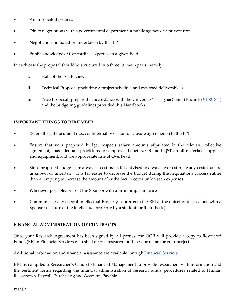- An unsolicited proposal
- Direct negotiations with a governmental department, a public agency or a private firm
- Negotiations initiated or undertaken by the RPI
- Public knowledge of Concordia's expertise in a given field.

In each case the proposal should be structured into three (3) main parts, namely:

- i. State of the Art Review
- ii. Technical Proposal (including a project schedule and expected deliverables)
- iii. Price Proposal (prepared in accordance with the University's Policy on Contract Research [\(VPRGS-1\)](http://www.concordia.ca/content/dam/common/docs/policies/official-policies/VPRGS-1.pdf) and the budgeting guidelines provided this Handbook).

### **IMPORTANT THINGS TO REMEMBER**

- Refer all legal document (i.e., confidentiality or non-disclosure agreements) to the RPI
- Ensure that your proposed budget respects salary amounts stipulated in the relevant collective agreement, has adequate provisions for employee benefits, GST and QST on all materials, supplies and equipment, and the appropriate rate of Overhead
- Since proposed budgets are always an estimate, it is advised to always over-estimate any costs that are unknown or uncertain. It is far easier to decrease the budget during the negotiations process rather than attempting to increase the amount after the fact to cover unforeseen expenses
- Whenever possible, present the Sponsor with a firm lump sum price
- Communicate any special Intellectual Property concerns to the RPI at the outset of discussions with a Sponsor (i.e., use of the intellectual property by a student for their thesis).

# **FINANCIAL ADMINISTRATION OF CONTRACTS**

Once your Research Agreement has been signed by all parties, the OOR will provide a copy to Restricted Funds (RF) in Financial Services who shall open a research fund in your name for your project.

Additional information and financial assistance are available through **Financial Services**.

RF has compiled a Researcher's Guide to Financial Management to provide researchers with information and the pertinent forms regarding the financial administration of research funds, procedures related to Human Resources & Payroll, Purchasing and Accounts Payable.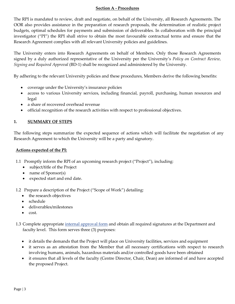# **Section A - Procedures**

The RPI is mandated to review, draft and negotiate, on behalf of the University, all Research Agreements. The OOR also provides assistance in the preparation of research proposals, the determination of realistic project budgets, optimal schedules for payments and submission of deliverables. In collaboration with the principal investigator ("PI") the RPI shall strive to obtain the most favourable contractual terms and ensure that the Research Agreement complies with all relevant University policies and guidelines.

The University enters into Research Agreements on behalf of Members. Only those Research Agreements signed by a duly authorized representative of the University per the University's *Policy on Contract Review, Signing and Required Approval* (BD-1) shall be recognized and administered by the University.

By adhering to the relevant University policies and these procedures, Members derive the following benefits:

- coverage under the University's insurance policies
- access to various University services, including financial, payroll, purchasing, human resources and legal
- a share of recovered overhead revenue
- official recognition of the research activities with respect to professional objectives.

# **1. SUMMARY OF STEPS**

The following steps summarize the expected sequence of actions which will facilitate the negotiation of any Research Agreement to which the University will be a party and signatory.

# **Actions expected of the PI:**

- 1.1 Promptly inform the RPI of an upcoming research project ("Project"), including:
	- subject/title of the Project
	- name of Sponsor(s)
	- expected start and end date.

1.2 Prepare a description of the Project ("Scope of Work") detailing:

- the research objectives
- schedule
- deliverables/milestones
- cost.
- 1.3 Complete appropriate [internal approval](http://www.concordia.ca/research/for-researchers/partnerships-innovation.html%23RPForms) form and obtain all required signatures at the Department and faculty level. This form serves three (3) purposes:
	- it details the demands that the Project will place on University facilities, services and equipment
	- it serves as an attestation from the Member that all necessary certifications with respect to research involving humans, animals, hazardous materials and/or controlled goods have been obtained
	- it ensures that all levels of the faculty (Centre Director, Chair, Dean) are informed of and have accepted the proposed Project.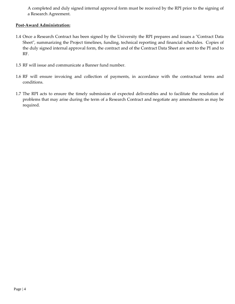A completed and duly signed internal approval form must be received by the RPI prior to the signing of a Research Agreement.

# **Post-Award Administration:**

- 1.4 Once a Research Contract has been signed by the University the RPI prepares and issues a "Contract Data Sheet", summarizing the Project timelines, funding, technical reporting and financial schedules. Copies of the duly signed internal approval form, the contract and of the Contract Data Sheet are sent to the PI and to RF.
- 1.5 RF will issue and communicate a Banner fund number.
- 1.6 RF will ensure invoicing and collection of payments, in accordance with the contractual terms and conditions.
- 1.7 The RPI acts to ensure the timely submission of expected deliverables and to facilitate the resolution of problems that may arise during the term of a Research Contract and negotiate any amendments as may be required.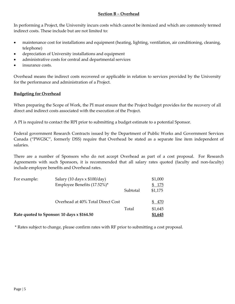# **Section B – Overhead**

In performing a Project, the University incurs costs which cannot be itemized and which are commonly termed indirect costs. These include but are not limited to:

- maintenance cost for installations and equipment (heating, lighting, ventilation, air conditioning, cleaning, telephone)
- depreciation of University installations and equipment
- administrative costs for central and departmental services
- insurance costs.

Overhead means the indirect costs recovered or applicable in relation to services provided by the University for the performance and administration of a Project.

# **Budgeting for Overhead**

When preparing the Scope of Work, the PI must ensure that the Project budget provides for the recovery of all direct and indirect costs associated with the execution of the Project.

A PI is required to contact the RPI prior to submitting a budget estimate to a potential Sponsor.

Federal government Research Contracts issued by the Department of Public Works and Government Services Canada ("PWGSC", formerly DSS) require that Overhead be stated as a separate line item independent of salaries.

There are a number of Sponsors who do not accept Overhead as part of a cost proposal. For Research Agreements with such Sponsors, it is recommended that all salary rates quoted (faculty and non-faculty) include employee benefits and Overhead rates.

| For example: | Salary (10 days $x$ \$100/day)             |          | \$1,000        |
|--------------|--------------------------------------------|----------|----------------|
|              | Employee Benefits (17.52%)*                |          | 175            |
|              |                                            | Subtotal | \$1,175        |
|              | Overhead at 40% Total Direct Cost          |          | <u>470</u>     |
|              |                                            | Total    | \$1,645        |
|              | Rate quoted to Sponsor: 10 days x \$164.50 |          | <u>\$1,645</u> |

\* Rates subject to change, please confirm rates with RF prior to submitting a cost proposal.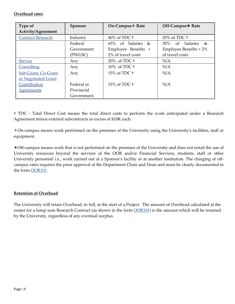### **Overhead rates**

| Type of                  | Sponsor    | On-Campus▲ Rate         | Off-Campus★ Rate           |
|--------------------------|------------|-------------------------|----------------------------|
| Activity/Agreement       |            |                         |                            |
| <b>Contract Research</b> | Industry   | $40\%$ of TDC $\dagger$ | $20\%$ of TDC $\dagger$    |
|                          | Federal    | $65\%$ of Salaries &    | of Salaries<br>30%<br>$\&$ |
|                          | Government | Employee Benefits +     | Employee Benefits + 2%     |
|                          | (PWGSC)    | 2% of travel costs      | of travel costs            |
| <b>Service</b>           | Any        | $20\%$ of TDC $\dagger$ | N/A                        |
| Consulting               | Any        | 10% of TDC +            | N/A                        |
| Sub-Grant, Co-Grant      | Any        | 15% of TDC $\dagger$    | N/A                        |
| or Negotiated Grant      |            |                         |                            |
| Contribution             | Federal or | $15\%$ of TDC $\dagger$ | N/A                        |
| <b>Agreements</b>        | Provincial |                         |                            |
|                          | Government |                         |                            |

† TDC - Total Direct Cost means the total direct costs to perform the work anticipated under a Research Agreement minus external subcontracts in excess of \$10K each.

On-campus means work performed on the premises of the University using the University's facilities, staff or equipment.

Off-campus means work that is not performed on the premises of the University and does not entail the use of University resources beyond the services of the OOR and/or Financial Services, students, staff or other University personnel i.e., work carried out at a Sponsor's facility or at another institution. The charging of offcampus rates requires the prior approval of the Department Chair and Dean and must be clearly documented in the form [OOR101.](#page-10-0)

# **Retention of Overhead**

The University will retain Overhead, in full, at the start of a Project. The amount of Overhead calculated at the outset for a lump sum Research Contract (as shown in the form **OOR101**) is the amount which will be retained by the University, regardless of any eventual surplus.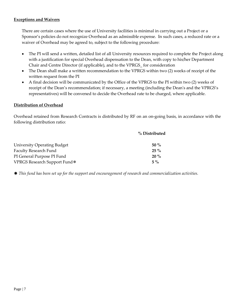### **Exceptions and Waivers**

There are certain cases where the use of University facilities is minimal in carrying out a Project or a Sponsor's policies do not recognize Overhead as an admissible expense. In such cases, a reduced rate or a waiver of Overhead may be agreed to, subject to the following procedure:

- The PI will send a written, detailed list of all University resources required to complete the Project along with a justification for special Overhead dispensation to the Dean, with copy to his/her Department Chair and Centre Director (if applicable), and to the VPRGS\_ for consideration
- The Dean shall make a written recommendation to the VPRGS within two (2) weeks of receipt of the written request from the PI
- A final decision will be communicated by the Office of the VPRGS to the PI within two (2) weeks of receipt of the Dean's recommendation; if necessary, a meeting (including the Dean's and the VPRGS's representatives) will be convened to decide the Overhead rate to be charged, where applicable.

#### **Distribution of Overhead**

Overhead retained from Research Contracts is distributed by RF on an on-going basis, in accordance with the following distribution ratio:

| % Distributed |
|---------------|
| 50 $%$        |
| $25\%$        |
| $20\%$        |
| $5\%$         |
|               |

*This fund has been set up for the support and encouragement of research and commercialization activities.*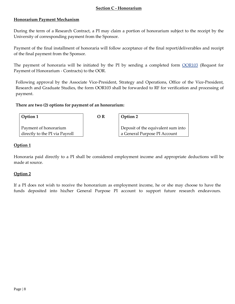#### **Section C - Honorarium**

#### **Honorarium Payment Mechanism**

During the term of a Research Contract, a PI may claim a portion of honorarium subject to the receipt by the University of corresponding payment from the Sponsor.

Payment of the final installment of honoraria will follow acceptance of the final report/deliverables and receipt of the final payment from the Sponsor.

The payment of honoraria will be initiated by the PI by sending a completed form **[OOR103](#page-15-0)** (Request for Payment of Honorarium - Contracts) to the OOR.

Following approval by the Associate Vice-President, Strategy and Operations, Office of the Vice-President, Research and Graduate Studies, the form OOR103 shall be forwarded to RF for verification and processing of payment.

#### **There are two (2) options for payment of an honorarium:**

| Option 1                       | O R | Option 2                           |
|--------------------------------|-----|------------------------------------|
| Payment of honorarium          |     | Deposit of the equivalent sum into |
| directly to the PI via Payroll |     | a General Purpose PI Account       |

#### **Option 1**

Honoraria paid directly to a PI shall be considered employment income and appropriate deductions will be made at source.

# **Option 2**

If a PI does not wish to receive the honorarium as employment income, he or she may choose to have the funds deposited into his/her General Purpose PI account to support future research endeavours.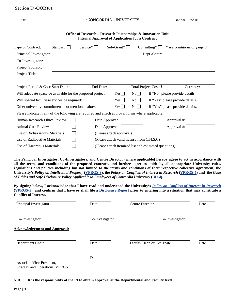#### <span id="page-10-0"></span>**Section D -OOR101**

| $OOR$ #:                                                                                         |                 |                 | <b>CONCORDIA UNIVERSITY</b>                            |                                            |                  |                                                              | Banner Fund #:                   |
|--------------------------------------------------------------------------------------------------|-----------------|-----------------|--------------------------------------------------------|--------------------------------------------|------------------|--------------------------------------------------------------|----------------------------------|
|                                                                                                  |                 |                 | <b>Internal Approval of Application for a Contract</b> |                                            |                  | Office of Research - Research Partnerships & Innovation Unit |                                  |
| Type of Contract:<br>Principal Investigator:                                                     | Standard $\Box$ | Service* $\Box$ |                                                        | $Sub-Grant*$                               |                  | Consulting* $\Box$<br>Dept./Centre:                          | * see conditions on page 3       |
| Co-Investigators:                                                                                |                 |                 |                                                        |                                            |                  |                                                              |                                  |
| Project Sponsor:                                                                                 |                 |                 |                                                        |                                            |                  |                                                              |                                  |
| Project Title:                                                                                   |                 |                 |                                                        |                                            |                  |                                                              |                                  |
| Project Period & Cost: Start Date:                                                               |                 |                 | End Date:                                              |                                            |                  | Total Project Cost: \$                                       | Currency:                        |
| Will adequate space be available for the proposed project:                                       |                 |                 |                                                        | Yesl                                       | No               |                                                              | If "No" please provide details.  |
| Will special facilities/services be required:                                                    |                 |                 |                                                        | $Yes$                                      | $\overline{N}$ o |                                                              | If "Yes" please provide details. |
| Other university commitments not mentioned above:                                                |                 |                 |                                                        | Yes                                        | No               |                                                              | If "Yes" please provide details. |
| Please indicate if any of the following are required and attach approval forms where applicable: |                 |                 |                                                        |                                            |                  |                                                              |                                  |
| Human Research Ethics Review                                                                     |                 |                 | Date Approved:                                         |                                            |                  |                                                              | Approval #:                      |
| <b>Animal Care Review</b>                                                                        |                 |                 | Date Approved:                                         |                                            |                  |                                                              | Approval #:                      |
| Use of Biohazardous Materials                                                                    |                 |                 |                                                        | (Please attach approval)                   |                  |                                                              |                                  |
| Use of Radioactive Materials                                                                     |                 |                 |                                                        | (Please attach valid license from C.N.S.C) |                  |                                                              |                                  |
| Use of Hazardous Materials                                                                       |                 |                 |                                                        |                                            |                  | (Please attach itemized list and estimated quantities)       |                                  |

**The Principal Investigator, Co-Investigators, and Centre Director (where applicable) hereby agree to act in accordance with all the terms and conditions of the proposed contract, and further agree to abide by all appropriate University rules, regulations and policies including but not limited to the terms and conditions of their respective collective agreement, the University's** *Policy on Intellectual Property* **[\(VPRGS-9\)](http://www.concordia.ca/content/dam/common/docs/policies/official-policies/VPRGS-9.pdf), the** *Policy on Conflicts of Interest in Research* **[\(VPRGS-5\)](http://www.concordia.ca/content/dam/common/docs/policies/official-policies/VPRGS-5.pdf) and the** *Code of Ethics and Safe Disclosure Policy Applicable to Employees of Concordia University* **[\(BD-4\)](http://www.concordia.ca/content/dam/common/docs/policies/official-policies/BD-4.pdf).**

**By signing below, I acknowledge that I have read and understood the University's** *[Policy on Conflicts of Interest in Research](http://www.concordia.ca/vpirsg/documents/policies/VPRGS-5.pdf)* **[\(VPRGS-5\)](http://www.concordia.ca/content/dam/common/docs/policies/official-policies/VPRGS-5.pdf), and confirm that I have or shall file a [Disclosure Report](http://www.concordia.ca/content/dam/common/docs/policies/official-policies/COI_disclosure_report_form.pdf) prior to entering into a situation that may constitute a Conflict of Interest.** 

| Principal Investigator               | Date            | <b>Centre Director</b>           | Date |
|--------------------------------------|-----------------|----------------------------------|------|
| Co-Investigator                      | Co-Investigator | Co-Investigator                  |      |
| <b>Acknowledgement and Approval:</b> |                 |                                  |      |
| Department Chair                     | Date            | <b>Faculty Dean or Designate</b> | Date |
| Associate Vice-President,            | Date            |                                  |      |

Strategy and Operations, VPRGS

#### **N.B. It is the responsibility of the PI to obtain approval at the Departmental and Faculty level.**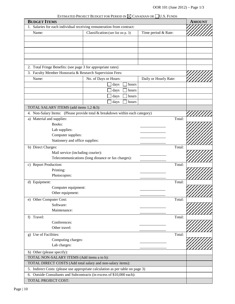| 1. Salaries for each individual receiving remuneration from contract:<br>Classification: (see list on p. 3)<br>Time period & Rate:<br>Name:<br>2. Total Fringe Benefits: (see page 3 for appropriate rates)<br>3. Faculty Member Honoraria & Research Supervision Fees:<br>No. of Days or Hours:<br>Name:<br>Daily or Hourly Rate:<br>hours<br>days<br>hours<br>days<br>hours<br>days<br>days<br>hours<br>TOTAL SALARY ITEMS (add items 1,2 &3):<br>4. Non-Salary Items: (Please provide total & breakdown within each category)<br>Total:<br>a) Material and supplies:<br>Books:<br>Lab supplies:<br>Computer supplies:<br>Stationery and office supplies:<br>Total:<br>b) Direct Charges:<br>Mail service (including courier):<br>Telecommunications (long distance or fax charges):<br>Total:<br>c) Report Production:<br>Printing:<br>Photocopies:<br>Total:<br>d) Equipment:<br>Computer equipment:<br>Other equipment:<br>e) Other Computer Cost:<br>Total:<br>Software:<br>Maintenance:<br>f) Travel:<br>Total:<br>Conferences:<br>Other travel:<br>g) Use of Facilities:<br>Total:<br>Computing charges:<br>Lab charges:<br>h) Other (please specify):<br>TOTAL NON-SALARY ITEMS (Add items a to h):<br>TOTAL DIRECT COSTS (Add total salary and non-salary items):<br>5. Indirect Costs: (please use appropriate calculation as per table on page 3)<br>6. Outside Consultants and Subcontracts (in excess of \$10,000 each):<br>TOTAL PROJECT COST: | <b>BUDGET ITEMS</b> | <b>ESTIMATED I NOTECT DUDGET FOR LENGD IN <math>\boxtimes</math> CANADIAN ON <math>\Box</math>0.5.1 0.005</b> | <b>AMOUNT</b> |
|---------------------------------------------------------------------------------------------------------------------------------------------------------------------------------------------------------------------------------------------------------------------------------------------------------------------------------------------------------------------------------------------------------------------------------------------------------------------------------------------------------------------------------------------------------------------------------------------------------------------------------------------------------------------------------------------------------------------------------------------------------------------------------------------------------------------------------------------------------------------------------------------------------------------------------------------------------------------------------------------------------------------------------------------------------------------------------------------------------------------------------------------------------------------------------------------------------------------------------------------------------------------------------------------------------------------------------------------------------------------------------------------------------------------------------------------------------------|---------------------|---------------------------------------------------------------------------------------------------------------|---------------|
|                                                                                                                                                                                                                                                                                                                                                                                                                                                                                                                                                                                                                                                                                                                                                                                                                                                                                                                                                                                                                                                                                                                                                                                                                                                                                                                                                                                                                                                               |                     |                                                                                                               |               |
|                                                                                                                                                                                                                                                                                                                                                                                                                                                                                                                                                                                                                                                                                                                                                                                                                                                                                                                                                                                                                                                                                                                                                                                                                                                                                                                                                                                                                                                               |                     |                                                                                                               |               |
|                                                                                                                                                                                                                                                                                                                                                                                                                                                                                                                                                                                                                                                                                                                                                                                                                                                                                                                                                                                                                                                                                                                                                                                                                                                                                                                                                                                                                                                               |                     |                                                                                                               |               |
|                                                                                                                                                                                                                                                                                                                                                                                                                                                                                                                                                                                                                                                                                                                                                                                                                                                                                                                                                                                                                                                                                                                                                                                                                                                                                                                                                                                                                                                               |                     |                                                                                                               |               |
|                                                                                                                                                                                                                                                                                                                                                                                                                                                                                                                                                                                                                                                                                                                                                                                                                                                                                                                                                                                                                                                                                                                                                                                                                                                                                                                                                                                                                                                               |                     |                                                                                                               |               |
|                                                                                                                                                                                                                                                                                                                                                                                                                                                                                                                                                                                                                                                                                                                                                                                                                                                                                                                                                                                                                                                                                                                                                                                                                                                                                                                                                                                                                                                               |                     |                                                                                                               |               |
|                                                                                                                                                                                                                                                                                                                                                                                                                                                                                                                                                                                                                                                                                                                                                                                                                                                                                                                                                                                                                                                                                                                                                                                                                                                                                                                                                                                                                                                               |                     |                                                                                                               |               |
|                                                                                                                                                                                                                                                                                                                                                                                                                                                                                                                                                                                                                                                                                                                                                                                                                                                                                                                                                                                                                                                                                                                                                                                                                                                                                                                                                                                                                                                               |                     |                                                                                                               |               |
|                                                                                                                                                                                                                                                                                                                                                                                                                                                                                                                                                                                                                                                                                                                                                                                                                                                                                                                                                                                                                                                                                                                                                                                                                                                                                                                                                                                                                                                               |                     |                                                                                                               |               |
|                                                                                                                                                                                                                                                                                                                                                                                                                                                                                                                                                                                                                                                                                                                                                                                                                                                                                                                                                                                                                                                                                                                                                                                                                                                                                                                                                                                                                                                               |                     |                                                                                                               |               |
|                                                                                                                                                                                                                                                                                                                                                                                                                                                                                                                                                                                                                                                                                                                                                                                                                                                                                                                                                                                                                                                                                                                                                                                                                                                                                                                                                                                                                                                               |                     |                                                                                                               |               |
|                                                                                                                                                                                                                                                                                                                                                                                                                                                                                                                                                                                                                                                                                                                                                                                                                                                                                                                                                                                                                                                                                                                                                                                                                                                                                                                                                                                                                                                               |                     |                                                                                                               |               |
|                                                                                                                                                                                                                                                                                                                                                                                                                                                                                                                                                                                                                                                                                                                                                                                                                                                                                                                                                                                                                                                                                                                                                                                                                                                                                                                                                                                                                                                               |                     |                                                                                                               |               |
|                                                                                                                                                                                                                                                                                                                                                                                                                                                                                                                                                                                                                                                                                                                                                                                                                                                                                                                                                                                                                                                                                                                                                                                                                                                                                                                                                                                                                                                               |                     |                                                                                                               |               |
|                                                                                                                                                                                                                                                                                                                                                                                                                                                                                                                                                                                                                                                                                                                                                                                                                                                                                                                                                                                                                                                                                                                                                                                                                                                                                                                                                                                                                                                               |                     |                                                                                                               |               |
|                                                                                                                                                                                                                                                                                                                                                                                                                                                                                                                                                                                                                                                                                                                                                                                                                                                                                                                                                                                                                                                                                                                                                                                                                                                                                                                                                                                                                                                               |                     |                                                                                                               |               |
|                                                                                                                                                                                                                                                                                                                                                                                                                                                                                                                                                                                                                                                                                                                                                                                                                                                                                                                                                                                                                                                                                                                                                                                                                                                                                                                                                                                                                                                               |                     |                                                                                                               |               |
|                                                                                                                                                                                                                                                                                                                                                                                                                                                                                                                                                                                                                                                                                                                                                                                                                                                                                                                                                                                                                                                                                                                                                                                                                                                                                                                                                                                                                                                               |                     |                                                                                                               |               |
|                                                                                                                                                                                                                                                                                                                                                                                                                                                                                                                                                                                                                                                                                                                                                                                                                                                                                                                                                                                                                                                                                                                                                                                                                                                                                                                                                                                                                                                               |                     |                                                                                                               |               |
|                                                                                                                                                                                                                                                                                                                                                                                                                                                                                                                                                                                                                                                                                                                                                                                                                                                                                                                                                                                                                                                                                                                                                                                                                                                                                                                                                                                                                                                               |                     |                                                                                                               |               |
|                                                                                                                                                                                                                                                                                                                                                                                                                                                                                                                                                                                                                                                                                                                                                                                                                                                                                                                                                                                                                                                                                                                                                                                                                                                                                                                                                                                                                                                               |                     |                                                                                                               |               |
|                                                                                                                                                                                                                                                                                                                                                                                                                                                                                                                                                                                                                                                                                                                                                                                                                                                                                                                                                                                                                                                                                                                                                                                                                                                                                                                                                                                                                                                               |                     |                                                                                                               |               |
|                                                                                                                                                                                                                                                                                                                                                                                                                                                                                                                                                                                                                                                                                                                                                                                                                                                                                                                                                                                                                                                                                                                                                                                                                                                                                                                                                                                                                                                               |                     |                                                                                                               |               |
|                                                                                                                                                                                                                                                                                                                                                                                                                                                                                                                                                                                                                                                                                                                                                                                                                                                                                                                                                                                                                                                                                                                                                                                                                                                                                                                                                                                                                                                               |                     |                                                                                                               |               |
|                                                                                                                                                                                                                                                                                                                                                                                                                                                                                                                                                                                                                                                                                                                                                                                                                                                                                                                                                                                                                                                                                                                                                                                                                                                                                                                                                                                                                                                               |                     |                                                                                                               |               |
|                                                                                                                                                                                                                                                                                                                                                                                                                                                                                                                                                                                                                                                                                                                                                                                                                                                                                                                                                                                                                                                                                                                                                                                                                                                                                                                                                                                                                                                               |                     |                                                                                                               |               |
|                                                                                                                                                                                                                                                                                                                                                                                                                                                                                                                                                                                                                                                                                                                                                                                                                                                                                                                                                                                                                                                                                                                                                                                                                                                                                                                                                                                                                                                               |                     |                                                                                                               |               |
|                                                                                                                                                                                                                                                                                                                                                                                                                                                                                                                                                                                                                                                                                                                                                                                                                                                                                                                                                                                                                                                                                                                                                                                                                                                                                                                                                                                                                                                               |                     |                                                                                                               |               |
|                                                                                                                                                                                                                                                                                                                                                                                                                                                                                                                                                                                                                                                                                                                                                                                                                                                                                                                                                                                                                                                                                                                                                                                                                                                                                                                                                                                                                                                               |                     |                                                                                                               |               |
|                                                                                                                                                                                                                                                                                                                                                                                                                                                                                                                                                                                                                                                                                                                                                                                                                                                                                                                                                                                                                                                                                                                                                                                                                                                                                                                                                                                                                                                               |                     |                                                                                                               |               |
|                                                                                                                                                                                                                                                                                                                                                                                                                                                                                                                                                                                                                                                                                                                                                                                                                                                                                                                                                                                                                                                                                                                                                                                                                                                                                                                                                                                                                                                               |                     |                                                                                                               |               |
|                                                                                                                                                                                                                                                                                                                                                                                                                                                                                                                                                                                                                                                                                                                                                                                                                                                                                                                                                                                                                                                                                                                                                                                                                                                                                                                                                                                                                                                               |                     |                                                                                                               |               |
|                                                                                                                                                                                                                                                                                                                                                                                                                                                                                                                                                                                                                                                                                                                                                                                                                                                                                                                                                                                                                                                                                                                                                                                                                                                                                                                                                                                                                                                               |                     |                                                                                                               |               |
|                                                                                                                                                                                                                                                                                                                                                                                                                                                                                                                                                                                                                                                                                                                                                                                                                                                                                                                                                                                                                                                                                                                                                                                                                                                                                                                                                                                                                                                               |                     |                                                                                                               |               |
|                                                                                                                                                                                                                                                                                                                                                                                                                                                                                                                                                                                                                                                                                                                                                                                                                                                                                                                                                                                                                                                                                                                                                                                                                                                                                                                                                                                                                                                               |                     |                                                                                                               |               |
|                                                                                                                                                                                                                                                                                                                                                                                                                                                                                                                                                                                                                                                                                                                                                                                                                                                                                                                                                                                                                                                                                                                                                                                                                                                                                                                                                                                                                                                               |                     |                                                                                                               |               |
|                                                                                                                                                                                                                                                                                                                                                                                                                                                                                                                                                                                                                                                                                                                                                                                                                                                                                                                                                                                                                                                                                                                                                                                                                                                                                                                                                                                                                                                               |                     |                                                                                                               |               |
|                                                                                                                                                                                                                                                                                                                                                                                                                                                                                                                                                                                                                                                                                                                                                                                                                                                                                                                                                                                                                                                                                                                                                                                                                                                                                                                                                                                                                                                               |                     |                                                                                                               |               |
|                                                                                                                                                                                                                                                                                                                                                                                                                                                                                                                                                                                                                                                                                                                                                                                                                                                                                                                                                                                                                                                                                                                                                                                                                                                                                                                                                                                                                                                               |                     |                                                                                                               |               |
|                                                                                                                                                                                                                                                                                                                                                                                                                                                                                                                                                                                                                                                                                                                                                                                                                                                                                                                                                                                                                                                                                                                                                                                                                                                                                                                                                                                                                                                               |                     |                                                                                                               |               |
|                                                                                                                                                                                                                                                                                                                                                                                                                                                                                                                                                                                                                                                                                                                                                                                                                                                                                                                                                                                                                                                                                                                                                                                                                                                                                                                                                                                                                                                               |                     |                                                                                                               |               |
|                                                                                                                                                                                                                                                                                                                                                                                                                                                                                                                                                                                                                                                                                                                                                                                                                                                                                                                                                                                                                                                                                                                                                                                                                                                                                                                                                                                                                                                               |                     |                                                                                                               |               |
|                                                                                                                                                                                                                                                                                                                                                                                                                                                                                                                                                                                                                                                                                                                                                                                                                                                                                                                                                                                                                                                                                                                                                                                                                                                                                                                                                                                                                                                               |                     |                                                                                                               |               |
|                                                                                                                                                                                                                                                                                                                                                                                                                                                                                                                                                                                                                                                                                                                                                                                                                                                                                                                                                                                                                                                                                                                                                                                                                                                                                                                                                                                                                                                               |                     |                                                                                                               |               |
|                                                                                                                                                                                                                                                                                                                                                                                                                                                                                                                                                                                                                                                                                                                                                                                                                                                                                                                                                                                                                                                                                                                                                                                                                                                                                                                                                                                                                                                               |                     |                                                                                                               |               |
|                                                                                                                                                                                                                                                                                                                                                                                                                                                                                                                                                                                                                                                                                                                                                                                                                                                                                                                                                                                                                                                                                                                                                                                                                                                                                                                                                                                                                                                               |                     |                                                                                                               |               |
|                                                                                                                                                                                                                                                                                                                                                                                                                                                                                                                                                                                                                                                                                                                                                                                                                                                                                                                                                                                                                                                                                                                                                                                                                                                                                                                                                                                                                                                               |                     |                                                                                                               |               |
|                                                                                                                                                                                                                                                                                                                                                                                                                                                                                                                                                                                                                                                                                                                                                                                                                                                                                                                                                                                                                                                                                                                                                                                                                                                                                                                                                                                                                                                               |                     |                                                                                                               |               |

ESTIMATED PROJECT BUDGET FOR PERIOD IN  $\boxtimes$  CANADIAN OR  $\Box$ U.S. FUNDS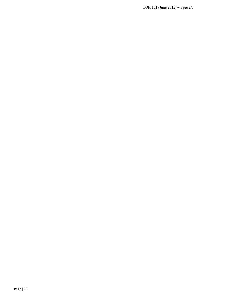OOR 101 (June 2012) – Page 2/3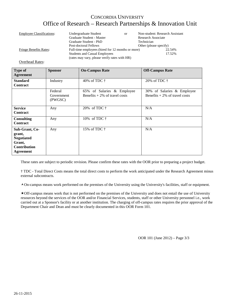# CONCORDIA UNIVERSITY Office of Research – Research Partnerships & Innovation Unit

| <b>Employee Classifications:</b> | Undergraduate Student                             | <sub>or</sub>          | Non-student: Research Assistant |        |
|----------------------------------|---------------------------------------------------|------------------------|---------------------------------|--------|
|                                  | Graduate Student - Master                         |                        | Research Associate              |        |
|                                  | Graduate Student - PhD                            |                        | Technician                      |        |
|                                  | Post-doctoral Fellows                             | Other (please specify) |                                 |        |
| <b>Fringe Benefits Rates:</b>    | Full-time employees (hired for 12 months or more) |                        |                                 | 22.54% |
|                                  | <b>Students and Casual Employees</b>              |                        |                                 | 17.52% |
|                                  | (rates may vary, please verify rates with HR)     |                        |                                 |        |

Overhead Rates:

| <b>Type of</b><br><b>Agreement</b>                                                          | <b>Sponsor</b>                   | <b>On-Campus Rate</b>                                         | <b>Off-Campus Rate</b>                                        |
|---------------------------------------------------------------------------------------------|----------------------------------|---------------------------------------------------------------|---------------------------------------------------------------|
| <b>Standard</b><br><b>Contract</b>                                                          | Industry                         | 40% of TDC †                                                  | 20% of TDC †                                                  |
|                                                                                             | Federal<br>Government<br>(PWGSC) | 65% of Salaries & Employee<br>Benefits $+2\%$ of travel costs | 30% of Salaries & Employee<br>Benefits $+2\%$ of travel costs |
| <b>Service</b><br><b>Contract</b>                                                           | Any                              | 20% of TDC †                                                  | N/A                                                           |
| <b>Consulting</b><br><b>Contract</b>                                                        | Any                              | 10% of TDC $\dagger$                                          | N/A                                                           |
| Sub-Grant, Co-<br>grant,<br><b>Negotiated</b><br>Grant,<br><b>Contribution</b><br>Agreement | Any                              | 15% of TDC †                                                  | N/A                                                           |

These rates are subject to periodic revision. Please confirm these rates with the OOR prior to preparing a project budget.

† TDC - Total Direct Costs means the total direct costs to perform the work anticipated under the Research Agreement minus external subcontracts.

On-campus means work performed on the premises of the University using the University's facilities, staff or equipment.

Off-campus means work that is not performed on the premises of the University and does not entail the use of University resources beyond the services of the OOR and/or Financial Services, students, staff or other University personnel i.e., work carried out at a Sponsor's facility or at another institution. The charging of off-campus rates requires the prior approval of the Department Chair and Dean and must be clearly documented in this OOR Form 101.

OOR 101 (June 2012) – Page 3/3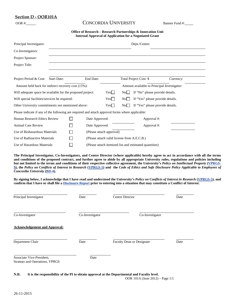**Section D - OOR101A** 

# OOR #: CONCORDIA UNIVERSITY Banner Fund #:

#### **Office of Research – Research Partnerships & Innovation Unit Internal Approval of Application for a Negotiated Grant**

| Principal Investigator:                                                                          |                    |                                             |            |                                              | Dept./Centre:                                          |           |
|--------------------------------------------------------------------------------------------------|--------------------|---------------------------------------------|------------|----------------------------------------------|--------------------------------------------------------|-----------|
| Co-Investigators:                                                                                |                    |                                             |            |                                              |                                                        |           |
| Project Sponsor:                                                                                 |                    |                                             |            |                                              |                                                        |           |
| Project Title:                                                                                   |                    |                                             |            |                                              |                                                        |           |
|                                                                                                  |                    |                                             |            |                                              |                                                        |           |
| Project Period & Cost:                                                                           | <b>Start Date:</b> | End Date:                                   |            |                                              | Total Project Cost: \$                                 | Currency: |
| Amount held back for indirect recovery cost (15%):                                               |                    |                                             |            |                                              | Amount available to Principal Investigator:            |           |
| Will adequate space be available for the proposed project:                                       |                    |                                             | Yes        | $\overline{N}$ $\overline{O}$ $\overline{O}$ | If "No" please provide details.                        |           |
| Will special facilities/services be required:                                                    |                    |                                             | $Yes \Box$ | $\overline{N_0}$                             | If "Yes" please provide details.                       |           |
| Other University commitments not mentioned above:                                                |                    |                                             | Yes        | $\overline{N_0}$                             | If "Yes" please provide details.                       |           |
| Please indicate if any of the following are required and attach approval forms where applicable: |                    |                                             |            |                                              |                                                        |           |
| Human Research Ethics Review                                                                     |                    | Date Approved:                              |            |                                              | Approval #:                                            |           |
| <b>Animal Care Review</b>                                                                        |                    | Date Approved:                              |            |                                              | Approval #:                                            |           |
| Use of Biohazardous Materials                                                                    |                    | (Please attach approval)                    |            |                                              |                                                        |           |
| Use of Radioactive Materials                                                                     |                    | (Please attach valid license from A.E.C.B.) |            |                                              |                                                        |           |
| Use of Hazardous Materials                                                                       |                    |                                             |            |                                              | (Please attach itemized list and estimated quantities) |           |

**The Principal Investigator, Co-Investigators, and Centre Director (where applicable) hereby agree to act in accordance with all the terms and conditions of the proposed contract, and further agree to abide by all appropriate University rules, regulations and policies including but not limited to the terms and conditions of their respective collective agreement, the University's** *Policy on Intellectual Property* **[\(VPRGS-](http://www.concordia.ca/content/dam/common/docs/policies/official-policies/VPRGS-9.pdf)[9\)](http://www.concordia.ca/content/dam/common/docs/policies/official-policies/VPRGS-9.pdf), the** *Policy on Conflicts of Interest in Research* **[\(VPRGS-5\)](http://www.concordia.ca/content/dam/common/docs/policies/official-policies/VPRGS-5.pdf) and the** *Code of Ethics and Safe Disclosure Policy Applicable to Employees of Concordia University* **[\(BD-4\)](http://www.concordia.ca/content/dam/common/docs/policies/official-policies/BD-4.pdf).**

**By signing below, I acknowledge that I have read and understood the University's** *Policy on Conflicts of Interest in Research* **[\(VPRGS-5\)](http://www.concordia.ca/content/dam/common/docs/policies/official-policies/VPRGS-5.pdf), and confirm that I have or shall file [a Disclosure Report](http://www.concordia.ca/content/dam/common/docs/policies/official-policies/COI_disclosure_report_form.pdf) prior to entering into a situation that may constitute a Conflict of Interest.** 

| Principal Investigator                                             | Date            | <b>Centre Director</b>    | Date |
|--------------------------------------------------------------------|-----------------|---------------------------|------|
| Co-Investigator                                                    | Co-Investigator | Co-Investigator           |      |
| <b>Acknowledgement and Approval:</b>                               |                 |                           |      |
| Department Chair                                                   | Date            | Faculty Dean or Designate | Date |
| Associate Vice-President,<br><b>Strategy and Operations, VPRGS</b> | Date            |                           |      |

**N.B. It is the responsibility of the PI to obtain approval at the Departmental and Faculty level.** 

OOR 101A (June 2012) – Page 1/1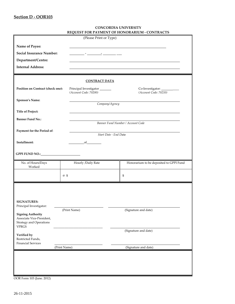# <span id="page-15-0"></span>**Section D - OOR103**

|                                                |              | (Please Print or Type)                          | <b>REQUEST FOR PAYMENT OF HONOKAKIUM - CONTRACTS</b>   |
|------------------------------------------------|--------------|-------------------------------------------------|--------------------------------------------------------|
| Name of Payee:                                 |              |                                                 |                                                        |
| <b>Social Insurance Number:</b>                |              |                                                 |                                                        |
| Department/Centre:                             |              |                                                 |                                                        |
| <b>Internal Address:</b>                       |              |                                                 |                                                        |
|                                                |              |                                                 |                                                        |
|                                                |              | <b>CONTRACT DATA</b>                            |                                                        |
| Position on Contract (check one):              |              | Principal Investigator<br>(Account Code: 70200) | Co-Investigator: ____________<br>(Account Code: 70210) |
| <b>Sponsor's Name:</b>                         |              |                                                 |                                                        |
|                                                |              | Company/Agency                                  |                                                        |
| <b>Title of Project:</b>                       |              |                                                 |                                                        |
| <b>Banner Fund No.:</b>                        |              |                                                 | Banner Fund Number / Account Code                      |
|                                                |              |                                                 |                                                        |
| Payment for the Period of:                     |              | Start Date - End Date                           |                                                        |
| Installment:                                   |              | $\sigma$ of                                     |                                                        |
|                                                |              |                                                 |                                                        |
|                                                |              |                                                 |                                                        |
| No. of Hours/Days                              |              | Hourly /Daily Rate                              | Honorarium to be deposited to GPPI Fund                |
| Worked                                         |              |                                                 |                                                        |
|                                                | @ \$         |                                                 | \$                                                     |
|                                                |              |                                                 |                                                        |
|                                                |              |                                                 |                                                        |
| <b>SIGNATURES:</b>                             |              |                                                 |                                                        |
| Principal Investigator:                        |              |                                                 |                                                        |
| <b>Signing Authority</b>                       |              | (Print Name)                                    | (Signature and date)                                   |
| Associate Vice-President,                      |              |                                                 |                                                        |
| <b>Strategy and Operations</b><br><b>VPRGS</b> |              |                                                 |                                                        |
| Verified by                                    |              |                                                 | (Signature and date)                                   |
| Restricted Funds,                              |              |                                                 |                                                        |
| <b>Financial Services</b>                      | (Print Name) |                                                 | (Signature and date)                                   |
|                                                |              |                                                 |                                                        |
|                                                |              |                                                 |                                                        |
|                                                |              |                                                 |                                                        |
|                                                |              |                                                 |                                                        |

#### **CONCORDIA UNIVERSITY REQUEST FOR PAYMENT OF HONORARIUM - CONTRACTS**

OOR Form 103 (June. 2012)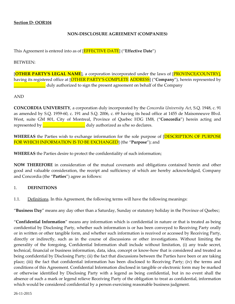#### **Section D- OOR104**

# **NON-DISCLOSURE AGREEMENT (COMPANIES)**

This Agreement is entered into as of [EFFECTIVE DATE] ("**Effective Date**")

#### BETWEEN:

[**OTHER PARTY'S LEGAL NAME**], a corporation incorporated under the laws of [PROVINCE/COUNTRY], having its registered office at [OTHER PARTY'S COMPLETE ADDRESS] ("**Company**"), herein represented by  $\Box$  duly authorized to sign the present agreement on behalf of the Company

#### AND

**CONCORDIA UNIVERSITY**, a corporation duly incorporated by the *Concordia University Act*, S.Q. 1948, c. 91 as amended by S.Q. 1959-60, c. 191 and S.Q. 2006, c. 69 having its head office at 1455 de Maisonneuve Blvd. West, suite GM 801, City of Montreal, Province of Quebec H3G 1M8, ("**Concordia**") herein acting and represented by **EXECUTE:** duly authorized as s/he so declares.

**WHEREAS** the Parties wish to exchange information for the sole purpose of [DESCRIPTION OF PURPOSE FOR WHICH INFORMATION IS TO BE EXCHANGED] (the "**Purpose**"); and

**WHEREAS** the Parties desire to protect the confidentiality of such information;

**NOW THEREFORE** in consideration of the mutual covenants and obligations contained herein and other good and valuable consideration, the receipt and sufficiency of which are hereby acknowledged, Company and Concordia (the "**Parties**") agree as follows:

#### 1. **DEFINITIONS**

1.1. Definitions. In this Agreement, the following terms will have the following meanings:

"**Business Day**" means any day other than a Saturday, Sunday or statutory holiday in the Province of Quebec;

"**Confidential Information**" means any information which is confidential in nature or that is treated as being confidential by Disclosing Party, whether such information is or has been conveyed to Receiving Party orally or in written or other tangible form, and whether such information is received or accessed by Receiving Party, directly or indirectly, such as in the course of discussions or other investigations. Without limiting the generality of the foregoing, Confidential Information shall include without limitation, (i) any trade secret, technical, financial or business information, data, idea, concept or know-how that is considered and treated as being confidential by Disclosing Party; (ii) the fact that discussions between the Parties have been or are taking place; (iii) the fact that confidential information has been disclosed to Receiving Party; (iv) the terms and conditions of this Agreement. Confidential Information disclosed in tangible or electronic form may be marked or otherwise identified by Disclosing Party with a legend as being confidential, but in no event shall the absence of such a mark or legend relieve Receiving Party of the obligation to treat as confidential, information which would be considered confidential by a person exercising reasonable business judgment.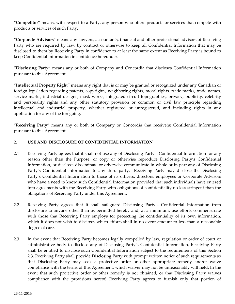"**Competitor**" means, with respect to a Party, any person who offers products or services that compete with products or services of such Party.

"**Corporate Advisors**" means any lawyers, accountants, financial and other professional advisors of Receiving Party who are required by law, by contract or otherwise to keep all Confidential Information that may be disclosed to them by Receiving Party in confidence to at least the same extent as Receiving Party is bound to keep Confidential Information in confidence hereunder.

"**Disclosing Party**" means any or both of Company and Concordia that discloses Confidential Information pursuant to this Agreement.

"**Intellectual Property Right**" means any right that is or may be granted or recognized under any Canadian or foreign legislation regarding patents, copyrights, neighboring rights, moral rights, trade-marks, trade names, service marks, industrial designs, mask works, integrated circuit topographies, privacy, publicity, celebrity and personality rights and any other statutory provision or common or civil law principle regarding intellectual and industrial property, whether registered or unregistered, and including rights in any application for any of the foregoing.

"**Receiving Party**" means any or both of Company or Concordia that receive(s) Confidential Information pursuant to this Agreement.

# 2. **USE AND DISCLOSURE OF CONFIDENTIAL INFORMATION**

- 2.1 Receiving Party agrees that it shall not use any of Disclosing Party's Confidential Information for any reason other than the Purpose, or copy or otherwise reproduce Disclosing Party's Confidential Information, or disclose, disseminate or otherwise communicate in whole or in part any of Disclosing Party's Confidential Information to any third party. Receiving Party may disclose the Disclosing Party's Confidential Information to those of its officers, directors, employees or Corporate Advisors who have a need to know such Confidential Information provided that such individuals have entered into agreements with the Receiving Party with obligations of confidentiality no less stringent than the obligations of Receiving Party under this Agreement.
- 2.2 Receiving Party agrees that it shall safeguard Disclosing Party's Confidential Information from disclosure to anyone other than as permitted hereby and, at a minimum, use efforts commensurate with those that Receiving Party employs for protecting the confidentiality of its own information, which it does not wish to disclose, which efforts shall in no event amount to less than a reasonable degree of care.
- 2.3 In the event that Receiving Party becomes legally compelled by law, regulation or order of court or administrative body to disclose any of Disclosing Party's Confidential Information, Receiving Party shall be entitled to disclose such Confidential Information subject to the requirements of this Section 2.3. Receiving Party shall provide Disclosing Party with prompt written notice of such requirements so that Disclosing Party may seek a protective order or other appropriate remedy and/or waive compliance with the terms of this Agreement, which waiver may not be unreasonably withheld. In the event that such protective order or other remedy is not obtained, or that Disclosing Party waives compliance with the provisions hereof, Receiving Party agrees to furnish only that portion of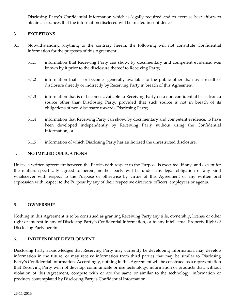Disclosing Party's Confidential Information which is legally required and to exercise best efforts to obtain assurances that the information disclosed will be treated in confidence.

# 3. **EXCEPTIONS**

- 3.1 Notwithstanding anything to the contrary herein, the following will not constitute Confidential Information for the purposes of this Agreement:
	- 3.1.1 information that Receiving Party can show, by documentary and competent evidence, was known by it prior to the disclosure thereof to Receiving Party;
	- 3.1.2 information that is or becomes generally available to the public other than as a result of disclosure directly or indirectly by Receiving Party in breach of this Agreement;
	- 3.1.3 information that is or becomes available to Receiving Party on a non-confidential basis from a source other than Disclosing Party, provided that such source is not in breach of its obligations of non-disclosure towards Disclosing Party;
	- 3.1.4 information that Receiving Party can show, by documentary and competent evidence, to have been developed independently by Receiving Party without using the Confidential Information; or
	- 3.1.5 information of which Disclosing Party has authorized the unrestricted disclosure.

#### 4. **NO IMPLIED OBLIGATIONS**

Unless a written agreement between the Parties with respect to the Purpose is executed, if any, and except for the matters specifically agreed to herein, neither party will be under any legal obligation of any kind whatsoever with respect to the Purpose or otherwise by virtue of this Agreement or any written oral expression with respect to the Purpose by any of their respective directors, officers, employees or agents.

#### 5. **OWNERSHIP**

Nothing in this Agreement is to be construed as granting Receiving Party any title, ownership, license or other right or interest in any of Disclosing Party's Confidential Information, or to any Intellectual Property Right of Disclosing Party herein.

#### 6. **INDEPENDENT DEVELOPMENT**

Disclosing Party acknowledges that Receiving Party may currently be developing information, may develop information in the future, or may receive information from third parties that may be similar to Disclosing Party's Confidential Information. Accordingly, nothing in this Agreement will be construed as a representation that Receiving Party will not develop, communicate or use technology, information or products that, without violation of this Agreement, compete with or are the same or similar to the technology, information or products contemplated by Disclosing Party's Confidential Information.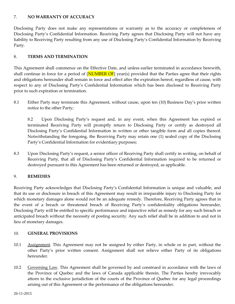# 7. **NO WARRANTY OF ACCURACY**

Disclosing Party does not make any representations or warranty as to the accuracy or completeness of Disclosing Party's Confidential Information. Receiving Party agrees that Disclosing Party will not have any liability to Receiving Party resulting from any use of Disclosing Party's Confidential Information by Receiving Party.

# 8. **TERMS AND TERMINATION**

This Agreement shall commence on the Effective Date, and unless earlier terminated in accordance herewith, shall continue in force for a period of [NUMBER OF] year(s) provided that the Parties agree that their rights and obligations hereunder shall remain in force and effect after the expiration hereof, regardless of cause, with respect to any of Disclosing Party's Confidential Information which has been disclosed to Receiving Party prior to such expiration or termination.

8.1 Either Party may terminate this Agreement, without cause, upon ten (10) Business Day's prior written notice to the other Party;

8.2 Upon Disclosing Party's request and, in any event, when this Agreement has expired or terminated Receiving Party will promptly return to Disclosing Party or certify as destroyed all Disclosing Party's Confidential Information in written or other tangible form and all copies thereof. Notwithstanding the foregoing, the Receiving Party may retain one (1) sealed copy of the Disclosing Party's Confidential Information for evidentiary purposes;

8.3 Upon Disclosing Party's request, a senior officer of Receiving Party shall certify in writing, on behalf of Receiving Party, that all of Disclosing Party's Confidential Information required to be returned or destroyed pursuant to this Agreement has been returned or destroyed, as applicable.

# 9. **REMEDIES**

Receiving Party acknowledges that Disclosing Party's Confidential Information is unique and valuable, and that its use or disclosure in breach of this Agreement may result in irreparable injury to Disclosing Party for which monetary damages alone would not be an adequate remedy. Therefore, Receiving Party agrees that in the event of a breach or threatened breach of Receiving Party's confidentiality obligations hereunder, Disclosing Party will be entitled to specific performance and injunctive relief as remedy for any such breach or anticipated breach without the necessity of posting security. Any such relief shall be in addition to and not in lieu of monetary damages.

# 10. **GENERAL PROVISIONS**

- 10.1 Assignment. This Agreement may not be assigned by either Party, in whole or in part, without the other Party's prior written consent. Assignment shall not relieve either Party of its obligations hereunder.
- 10.2 Governing Law. This Agreement shall be governed by and construed in accordance with the laws of the Province of Quebec and the laws of Canada applicable therein. The Parties hereby irrevocably attorn to the exclusive jurisdiction of the courts of the Province of Quebec for any legal proceedings arising out of this Agreement or the performance of the obligations hereunder.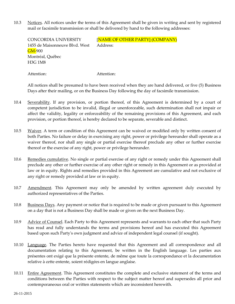10.3 Notices. All notices under the terms of this Agreement shall be given in writing and sent by registered mail or facsimile transmission or shall be delivered by hand to the following addresses:

CONCORDIA UNIVERSITY [NAME OF OTHER PARTY] (COMPANY) 1455 de Maisonneuve Blvd. West Address: GM-900 Montréal, Québec H3G 1M8

Attention: Attention:

All notices shall be presumed to have been received when they are hand delivered, or five (5) Business Days after their mailing, or on the Business Day following the day of facsimile transmission.

- 10.4 Severability. If any provision, or portion thereof, of this Agreement is determined by a court of competent jurisdiction to be invalid, illegal or unenforceable, such determination shall not impair or affect the validity, legality or enforceability of the remaining provisions of this Agreement, and each provision, or portion thereof, is hereby declared to be separate, severable and distinct.
- 10.5 Waiver. A term or condition of this Agreement can be waived or modified only by written consent of both Parties. No failure or delay in exercising any right, power or privilege hereunder shall operate as a waiver thereof, nor shall any single or partial exercise thereof preclude any other or further exercise thereof or the exercise of any right, power or privilege hereunder.
- 10.6 Remedies cumulative. No single or partial exercise of any right or remedy under this Agreement shall preclude any other or further exercise of any other right or remedy in this Agreement or as provided at law or in equity. Rights and remedies provided in this Agreement are cumulative and not exclusive of any right or remedy provided at law or in equity.
- 10.7 Amendment. This Agreement may only be amended by written agreement duly executed by authorized representatives of the Parties.
- 10.8 Business Days. Any payment or notice that is required to be made or given pursuant to this Agreement on a day that is not a Business Day shall be made or given on the next Business Day.
- 10.9 Advice of Counsel. Each Party to this Agreement represents and warrants to each other that such Party has read and fully understands the terms and provisions hereof and has executed this Agreement based upon such Party's own judgment and advice of independent legal counsel (if sought).
- 10.10 Language. The Parties hereto have requested that this Agreement and all correspondence and all documentation relating to this Agreement, be written in the English language. Les parties aux présentes ont exigé que la présente entente, de même que toute la correspondance et la documentation relative à cette entente, soient rédigées en langue anglaise.
- 10.11 Entire Agreement. This Agreement constitutes the complete and exclusive statement of the terms and conditions between the Parties with respect to the subject matter hereof and supersedes all prior and contemporaneous oral or written statements which are inconsistent herewith.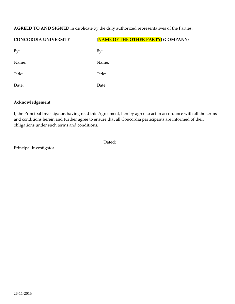# **AGREED TO AND SIGNED** in duplicate by the duly authorized representatives of the Parties.

| <b>CONCORDIA UNIVERSITY</b> | [NAME OF THE OTHER PARTY] (COMPANY) |
|-----------------------------|-------------------------------------|
| By:                         | By:                                 |
| Name:                       | Name:                               |
| Title:                      | Title:                              |
| Date:                       | Date:                               |

#### **Acknowledgement**

I, the Principal Investigator, having read this Agreement, hereby agree to act in accordance with all the terms and conditions herein and further agree to ensure that all Concordia participants are informed of their obligations under such terms and conditions.

\_\_\_\_\_\_\_\_\_\_\_\_\_\_\_\_\_\_\_\_\_\_\_\_\_\_\_\_\_\_\_\_\_\_\_\_\_\_\_\_\_\_ Dated: \_\_\_\_\_\_\_\_\_\_\_\_\_\_\_\_\_\_\_\_\_\_\_\_\_\_\_\_\_\_\_\_\_\_\_

Principal Investigator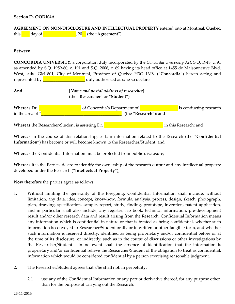**AGREEMENT ON NON-DISCLOSURE AND INTELLECTUAL PROPERTY** entered into at Montreal, Quebec, this \_\_\_\_ day of \_\_\_\_\_\_\_\_\_\_\_\_\_\_\_\_, 20\_\_ (the "**Agreement**").

#### **Between**

**CONCORDIA UNIVERSITY**, a corporation duly incorporated by the *Concordia University Act*, S.Q. 1948, c. 91 as amended by S.Q. 1959-60, c. 191 and S.Q. 2006, c. 69 having its head office at 1455 de Maisonneuve Blvd. West, suite GM 801, City of Montreal, Province of Quebec H3G 1M8, ("**Concordia**") herein acting and represented by **Quart Later and Separate as s** and duly authorized as s/he so declares

| And                                                    | [Name and postal address of researcher]<br>(the "Researcher" or "Student") |                                                            |
|--------------------------------------------------------|----------------------------------------------------------------------------|------------------------------------------------------------|
| <b>Whereas Dr.</b><br>in the area of "                 | of Concordia's Department of                                               | is conducting research<br>" (the " <b>Research</b> "); and |
| <b>Whereas</b> the Researcher/Student is assisting Dr. |                                                                            | in this Research; and                                      |

**Whereas** in the course of this relationship, certain information related to the Research (the "**Confidential Information**") has become or will become known to the Researcher/Student; and

**Whereas** the Confidential Information must be protected from public disclosure;

**Whereas** it is the Parties' desire to identify the ownership of the research output and any intellectual property developed under the Research ("**Intellectual Property**");

**Now therefore** the parties agree as follows:

- 1. Without limiting the generality of the foregoing, Confidential Information shall include, without limitation, any data, idea, concept, know-how, formula, analysis, process, design, sketch, photograph, plan, drawing, specification, sample, report, study, finding, prototype, invention, patent application, and in particular shall also include, any register, lab book, technical information, pre-development result and/or other research data and result arising from the Research. Confidential Information means any information which is confidential in nature or that is treated as being confidential, whether such information is conveyed to Researcher/Student orally or in written or other tangible form, and whether such information is received directly, identified as being proprietary and/or confidential before or at the time of its disclosure, or indirectly, such as in the course of discussions or other investigations by the Researcher/Student. In no event shall the absence of identification that the information is proprietary and/or confidential relieve the Researcher/Student of the obligation to treat as confidential, information which would be considered confidential by a person exercising reasonable judgment.
- 2. The Researcher/Student agrees that s/he shall not, in perpetuity:
	- 2.1 use any of the Confidential Information or any part or derivative thereof, for any purpose other than for the purpose of carrying out the Research;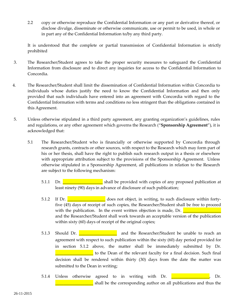2.2 copy or otherwise reproduce the Confidential Information or any part or derivative thereof, or disclose divulge, disseminate or otherwise communicate, use or permit to be used, in whole or in part any of the Confidential Information to/by any third party.

It is understood that the complete or partial transmission of Confidential Information is strictly prohibited

- 3. The Researcher/Student agrees to take the proper security measures to safeguard the Confidential Information from disclosure and to direct any inquiries for access to the Confidential Information to Concordia.
- 4. The Researcher/Student shall limit the dissemination of Confidential Information within Concordia to individuals whose duties justify the need to know the Confidential Information and then only provided that such individuals have entered into an agreement with Concordia with regard to the Confidential Information with terms and conditions no less stringent than the obligations contained in this Agreement.
- 5. Unless otherwise stipulated in a third party agreement, any granting organization's guidelines, rules and regulations, or any other agreement which governs the Research ("**Sponsorship Agreement**"), it is acknowledged that:
	- 5.1 The Researcher/Student who is financially or otherwise supported by Concordia through research grants, contracts or other sources, with respect to the Research which may form part of his or her thesis, shall have the right to publish such research output in a thesis or elsewhere with appropriate attribution subject to the provisions of the Sponsorship Agreement. Unless otherwise stipulated in a Sponsorship Agreement, all publications in relation to the Research are subject to the following mechanism:
		- 5.1.1 Dr. **Dr. Exercise 2.1.1** Dr. **Exercise 2.1.1** Dr. **Exercise 2.1.1** Dr. **Exercise 2.1.1** Dr. **Exercise 2.1.1** Shall be provided with copies of any proposed publication at least ninety (90) days in advance of disclosure of such publication;
		- 5.1.2 If Dr. **Let us a lot use** does not object, in writing, to such disclosure within fortyfive (45) days of receipt of such copies, the Researcher/Student shall be free to proceed with the publication. In the event written objection is made, Dr. and the Researcher/Student shall work towards an acceptable version of the publication within sixty (60) days of receipt of the original copies;
		- 5.1.3 Should Dr. **We can be a set to reach an** and the Researcher/Student be unable to reach an agreement with respect to such publication within the sixty (60) day period provided for in section 5.1.2 above, the matter shall be immediately submitted by Dr. to the Dean of the relevant faculty for a final decision. Such final decision shall be rendered within thirty (30) days from the date the matter was submitted to the Dean in writing;
		- 5.1.4 Unless otherwise agreed to in writing with Dr. shall be the corresponding author on all publications and thus the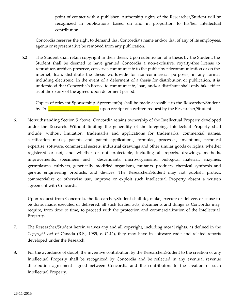point of contact with a publisher. Authorship rights of the Researcher/Student will be recognized in publications based on and in proportion to his/her intellectual contribution.

Concordia reserves the right to demand that Concordia's name and/or that of any of its employees, agents or representative be removed from any publication.

5.2 The Student shall retain copyright in their thesis. Upon submission of a thesis by the Student, the Student shall be deemed to have granted Concordia a non-exclusive, royalty-free license to reproduce, archive, preserve, conserve, communicate to the public by telecommunication or on the internet, loan, distribute the thesis worldwide for non-commercial purposes, in any format including electronic. In the event of a deferment of a thesis for distribution or publication, it is understood that Concordia's license to communicate, loan, and/or distribute shall only take effect as of the expiry of the agreed upon deferment period.

Copies of relevant Sponsorship Agreement(s) shall be made accessible to the Researcher/Student by Dr. **Example 20** a written request by the Researcher/Student.

6. Notwithstanding Section 5 above, Concordia retains ownership of the Intellectual Property developed under the Research. Without limiting the generality of the foregoing, Intellectual Property shall include, without limitation, trademarks and applications for trademarks, commercial names, certification marks, patents and patent applications, formulae, processes, inventions, technical expertise, software, commercial secrets, industrial drawings and other similar goods or rights, whether registered or not, and whether or not protectable, including all reports, drawings, methods, improvements, specimens and descendants, micro-organisms, biological material, enzymes, germplasms, cultivars, genetically modified organisms, mutants, products, chemical synthesis and genetic engineering products, and devices. The Researcher/Student may not publish, protect, commercialize or otherwise use, improve or exploit such Intellectual Property absent a written agreement with Concordia.

Upon request from Concordia, the Researcher/Student shall do, make, execute or deliver, or cause to be done, made, executed or delivered, all such further acts, documents and things as Concordia may require, from time to time, to proceed with the protection and commercialization of the Intellectual Property.

- 7. The Researcher/Student herein waives any and all copyright, including moral rights, as defined in the *Copyright Act* of Canada (R.S., 1985, c. C-42), they may have in software code and related reports developed under the Research.
- 8. For the avoidance of doubt, the inventive contribution by the Researcher/Student to the creation of any Intellectual Property shall be recognized by Concordia and be reflected in any eventual revenue distribution agreement signed between Concordia and the contributors to the creation of such Intellectual Property.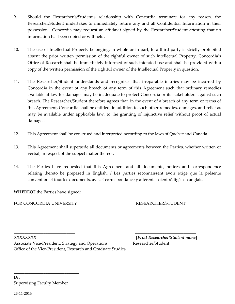- 9. Should the Researcher's/Student's relationship with Concordia terminate for any reason, the Researcher/Student undertakes to immediately return any and all Confidential Information in their possession. Concordia may request an affidavit signed by the Researcher/Student attesting that no information has been copied or withheld.
- 10. The use of Intellectual Property belonging, in whole or in part, to a third party is strictly prohibited absent the prior written permission of the rightful owner of such Intellectual Property. Concordia's Office of Research shall be immediately informed of such intended use and shall be provided with a copy of the written permission of the rightful owner of the Intellectual Property in question.
- 11. The Researcher/Student understands and recognizes that irreparable injuries may be incurred by Concordia in the event of any breach of any term of this Agreement such that ordinary remedies available at law for damages may be inadequate to protect Concordia or its stakeholders against such breach. The Researcher/Student therefore agrees that, in the event of a breach of any term or terms of this Agreement, Concordia shall be entitled, in addition to such other remedies, damages, and relief as may be available under applicable law, to the granting of injunctive relief without proof of actual damages.
- 12. This Agreement shall be construed and interpreted according to the laws of Quebec and Canada.
- 13. This Agreement shall supersede all documents or agreements between the Parties, whether written or verbal, in respect of the subject matter thereof.
- 14. The Parties have requested that this Agreement and all documents, notices and correspondence relating thereto be prepared in English. / Les parties reconnaissent avoir exigé que la présente convention et tous les documents, avis et correspondance y afférents soient rédigés en anglais.

 $\overline{\phantom{a}}$  , and the contract of the contract of the contract of the contract of the contract of the contract of the contract of the contract of the contract of the contract of the contract of the contract of the contrac

**WHEREOF** the Parties have signed:

FOR CONCORDIA UNIVERSITY THE RESEARCHER/STUDENT

Associate Vice-President, Strategy and Operations Researcher/Student Office of the Vice-President, Research and Graduate Studies

XXXXXXXX [*Print Researcher/Student name*]

Dr. Supervising Faculty Member

\_\_\_\_\_\_\_\_\_\_\_\_\_\_\_\_\_\_\_\_\_\_\_\_\_\_\_\_\_\_\_

26-11-2015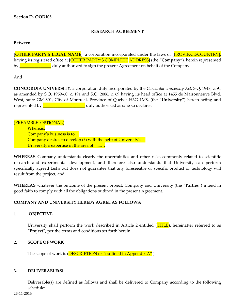# **RESEARCH AGREEMENT**

#### **Between**

[**OTHER PARTY'S LEGAL NAME**], a corporation incorporated under the laws of [PROVINCE/COUNTRY], having its registered office at [OTHER PARTY'S COMPLETE ADDRESS] (the "**Company**"), herein represented by **Example 3** duly authorized to sign the present Agreement on behalf of the Company.

And

**CONCORDIA UNIVERSITY**, a corporation duly incorporated by the *Concordia University Act*, S.Q. 1948, c. 91 as amended by S.Q. 1959-60, c. 191 and S.Q. 2006, c. 69 having its head office at 1455 de Maisonneuve Blvd. West, suite GM 801, City of Montreal, Province of Quebec H3G 1M8, (the "**University**") herein acting and represented by **we are also constrained** duly authorized as s/he so declares.

(PREAMBLE OPTIONAL) Whereas: Company's business is to ... Company desires to develop (?) with the help of University's ... University's expertise in the area of ....... ;

**WHEREAS** Company understands clearly the uncertainties and other risks commonly related to scientific research and experimental development, and therefore also understands that University can perform specifically agreed tasks but does not guarantee that any foreseeable or specific product or technology will result from the project; and

**WHEREAS** whatever the outcome of the present project, Company and University (the "**Parties**") intend in good faith to comply with all the obligations outlined in the present Agreement.

# **COMPANY AND UNIVERSITY HEREBY AGREE AS FOLLOWS:**

#### **1 OBJECTIVE**

University shall perform the work described in Article 2 entitled (TITLE), hereinafter referred to as "**Project**", per the terms and conditions set forth herein.

# **2. SCOPE OF WORK**

The scope of work is (**DESCRIPTION** or "outlined in Appendix A").

#### **3. DELIVERABLE(S)**

Deliverable(s) are defined as follows and shall be delivered to Company according to the following schedule: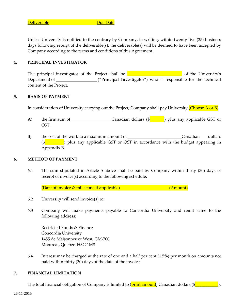Unless University is notified to the contrary by Company, in writing, within twenty five (25) business days following receipt of the deliverable(s), the deliverable(s) will be deemed to have been accepted by Company according to the terms and conditions of this Agreement.

#### **4. PRINCIPAL INVESTIGATOR**

The principal investigator of the Project shall be  $\Box$   $\Box$   $\Box$   $\Box$   $\Box$  of the University's Department of  $\qquad \qquad$  ("**Principal Investigator**") who is responsible for the technical content of the Project.

#### **5. BASIS OF PAYMENT**

In consideration of University carrying out the Project, Company shall pay University (Choose A or B)

- A) the firm sum of  $\Box$  Canadian dollars (\$ $\Box$ ) plus any applicable GST or QST.
- B) the cost of the work to a maximum amount of Canadian dollars  $(\frac{\epsilon}{2})$  plus any applicable GST or QST in accordance with the budget appearing in Appendix B.

#### **6. METHOD OF PAYMENT**

6.1 The sum stipulated in Article 5 above shall be paid by Company within thirty (30) days of receipt of invoice(s) according to the following schedule:

(Date of invoice & milestone if applicable) (Amount)

- 6.2 University will send invoice(s) to:
- 6.3 Company will make payments payable to Concordia University and remit same to the following address:

Restricted Funds & Finance Concordia University 1455 de Maisonneuve West, GM-700 Montreal, Quebec H3G 1M8

6.4 Interest may be charged at the rate of one and a half per cent (1.5%) per month on amounts not paid within thirty (30) days of the date of the invoice.

#### **7. FINANCIAL LIMITATION**

The total financial obligation of Company is limited to  $(print$  amount) Canadian dollars  $(\frac{p}{q})$ .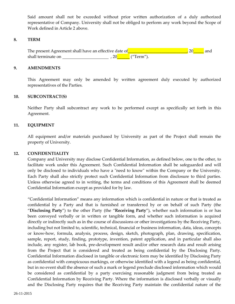Said amount shall not be exceeded without prior written authorization of a duly authorized representative of Company. University shall not be obliged to perform any work beyond the Scope of Work defined in Article 2 above.

#### **8. TERM**

The present Agreement shall have an effective date of **The Common Common Common Common Common Common Common Commo** shall terminate on  $\frac{1}{2}$ , 20 $\frac{1}{2}$  ("Term").

#### **9. AMENDMENTS**

This Agreement may only be amended by written agreement duly executed by authorized representatives of the Parties.

#### **10. SUBCONTRACT(S)**

Neither Party shall subcontract any work to be performed except as specifically set forth in this Agreement.

#### **11. EQUIPMENT**

All equipment and/or materials purchased by University as part of the Project shall remain the property of University.

#### **12. CONFIDENTIALITY**

Company and University may disclose Confidential Information, as defined below, one to the other, to facilitate work under this Agreement. Such Confidential Information shall be safeguarded and will only be disclosed to individuals who have a "need to know" within the Company or the University. Each Party shall also strictly protect such Confidential Information from disclosure to third parties. Unless otherwise agreed to in writing, the terms and conditions of this Agreement shall be deemed Confidential Information except as provided for by law.

"Confidential Information" means any information which is confidential in nature or that is treated as confidential by a Party and that is furnished or transferred by or on behalf of such Party (the "**Disclosing Party**") to the other Party (the "**Receiving Party**"), whether such information is or has been conveyed verbally or in written or tangible form, and whether such information is acquired directly or indirectly such as in the course of discussions or other investigations by the Receiving Party, including but not limited to, scientific, technical, financial or business information, data, ideas, concepts or know-how, formula, analysis, process, design, sketch, photograph, plan, drawing, specification, sample, report, study, finding, prototype, invention, patent application, and in particular shall also include, any register, lab book, pre-development result and/or other research data and result arising from the Project that is considered and treated as being confidential by the Disclosing Party. Confidential Information disclosed in tangible or electronic form may be identified by Disclosing Party as confidential with conspicuous markings, or otherwise identified with a legend as being confidential, but in no event shall the absence of such a mark or legend preclude disclosed information which would be considered as confidential by a party exercising reasonable judgment from being treated as Confidential Information by Receiving Party. Where the information is disclosed verbally or visually and the Disclosing Party requires that the Receiving Party maintain the confidential nature of the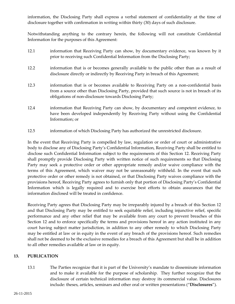information, the Disclosing Party shall express a verbal statement of confidentiality at the time of disclosure together with confirmation in writing within thirty (30) days of such disclosure.

Notwithstanding anything to the contrary herein, the following will not constitute Confidential Information for the purposes of this Agreement:

- 12.1 information that Receiving Party can show, by documentary evidence, was known by it prior to receiving such Confidential Information from the Disclosing Party;
- 12.2 information that is or becomes generally available to the public other than as a result of disclosure directly or indirectly by Receiving Party in breach of this Agreement;
- 12.3 information that is or becomes available to Receiving Party on a non-confidential basis from a source other than Disclosing Party, provided that such source is not in breach of its obligations of non-disclosure towards Disclosing Party;
- 12.4 information that Receiving Party can show, by documentary and competent evidence, to have been developed independently by Receiving Party without using the Confidential Information; or
- 12.5 information of which Disclosing Party has authorized the unrestricted disclosure.

In the event that Receiving Party is compelled by law, regulation or order of court or administrative body to disclose any of Disclosing Party's Confidential Information, Receiving Party shall be entitled to disclose such Confidential Information subject to the requirements of this Section 12. Receiving Party shall promptly provide Disclosing Party with written notice of such requirements so that Disclosing Party may seek a protective order or other appropriate remedy and/or waive compliance with the terms of this Agreement, which waiver may not be unreasonably withheld. In the event that such protective order or other remedy is not obtained, or that Disclosing Party waives compliance with the provisions hereof, Receiving Party agrees to furnish only that portion of Disclosing Party's Confidential Information which is legally required and to exercise best efforts to obtain assurances that the information disclosed will be treated in confidence.

Receiving Party agrees that Disclosing Party may be irreparably injured by a breach of this Section 12 and that Disclosing Party may be entitled to seek equitable relief, including injunctive relief, specific performance and any other relief that may be available from any court to prevent breaches of this Section 12 and to enforce specifically the terms and provisions hereof in any action instituted in any court having subject matter jurisdiction, in addition to any other remedy to which Disclosing Party may be entitled at law or in equity in the event of any breach of the provisions hereof. Such remedies shall not be deemed to be the exclusive remedies for a breach of this Agreement but shall be in addition to all other remedies available at law or in equity.

#### **13. PUBLICATION**

13.1 The Parties recognize that it is part of the University's mandate to disseminate information and to make it available for the purpose of scholarship. They further recognize that the disclosure of certain technical information may destroy its commercial value. Disclosures include: theses, articles, seminars and other oral or written presentations ("**Disclosures**").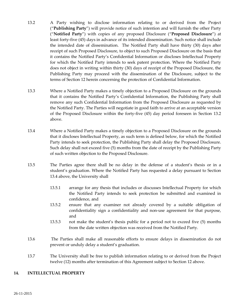- 13.2 A Party wishing to disclose information relating to or derived from the Project ("**Publishing Party**") will provide notice of such intention and will furnish the other Party ("**Notified Party**") with copies of any proposed Disclosure ("**Proposed Disclosure**") at least forty-five (45) days in advance of its intended dissemination. Such notice shall include the intended date of dissemination. The Notified Party shall have thirty (30) days after receipt of such Proposed Disclosure, to object to such Proposed Disclosure on the basis that it contains the Notified Party's Confidential Information or discloses Intellectual Property for which the Notified Party intends to seek patent protection. Where the Notified Party does not object in writing within thirty (30) days of receipt of the Proposed Disclosure, the Publishing Party may proceed with the dissemination of the Disclosure, subject to the terms of Section 12 herein concerning the protection of Confidential Information.
- 13.3 Where a Notified Party makes a timely objection to a Proposed Disclosure on the grounds that it contains the Notified Party's Confidential Information, the Publishing Party shall remove any such Confidential Information from the Proposed Disclosure as requested by the Notified Party. The Parties will negotiate in good faith to arrive at an acceptable version of the Proposed Disclosure within the forty-five (45) day period foreseen in Section 13.2 above.
- 13.4 Where a Notified Party makes a timely objection to a Proposed Disclosure on the grounds that it discloses Intellectual Property, as such term is defined below, for which the Notified Party intends to seek protection, the Publishing Party shall delay the Proposed Disclosure. Such delay shall not exceed five (5) months from the date of receipt by the Publishing Party of such written objection to the Proposed Disclosure.
- 13.5 The Parties agree there shall be no delay in the defense of a student's thesis or in a student's graduation. Where the Notified Party has requested a delay pursuant to Section 13.4 above, the University shall
	- 13.5.1 arrange for any thesis that includes or discusses Intellectual Property for which the Notified Party intends to seek protection be submitted and examined in confidence, and
	- 13.5.2 ensure that any examiner not already covered by a suitable obligation of confidentiality sign a confidentiality and non-use agreement for that purpose, and
	- 13.5.3 not make the student's thesis public for a period not to exceed five (5) months from the date written objection was received from the Notified Party.
- 13.6 The Parties shall make all reasonable efforts to ensure delays in dissemination do not prevent or unduly delay a student's graduation.
- 13.7 The University shall be free to publish information relating to or derived from the Project twelve (12) months after termination of this Agreement subject to Section 12 above.

#### **14. INTELLECTUAL PROPERTY**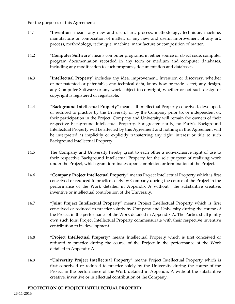For the purposes of this Agreement:

- 14.1 "**Invention**" means any new and useful art, process, methodology, technique, machine, manufacture or composition of matter, or any new and useful improvement of any art, process, methodology, technique, machine, manufacture or composition of matter.
- 14.2 "**Computer Software**" means computer programs, in either source or object code, computer program documentation recorded in any form or medium and computer databases, including any modification to such programs, documentation and databases.
- 14.3 "**Intellectual Property**" includes any idea, improvement, Invention or discovery, whether or not patented or patentable, any technical data, know-how or trade secret, any design, any Computer Software or any work subject to copyright, whether or not such design or copyright is registered or registrable.
- 14.4 "**Background Intellectual Property**" means all Intellectual Property conceived, developed, or reduced to practice by the University or by the Company prior to, or independent of, their participation in the Project. Company and University will remain the owners of their respective Background Intellectual Property. For greater clarity, no Party's Background Intellectual Property will be affected by this Agreement and nothing in this Agreement will be interpreted as implicitly or explicitly transferring any right, interest or title to such Background Intellectual Property.
- 14.5 The Company and University hereby grant to each other a non-exclusive right of use to their respective Background Intellectual Property for the sole purpose of realizing work under the Project, which grant terminates upon completion or termination of the Project.
- 14.6 "**Company Project Intellectual Property**" means Project Intellectual Property which is first conceived or reduced to practice solely by Company during the course of the Project in the performance of the Work detailed in Appendix A without the substantive creative, inventive or intellectual contribution of the University.
- 14.7 "**Joint Project Intellectual Property**" means Project Intellectual Property which is first conceived or reduced to practice jointly by Company and University during the course of the Project in the performance of the Work detailed in Appendix A. The Parties shall jointly own such Joint Project Intellectual Property commensurate with their respective inventive contribution to its development.
- 14.8 "**Project Intellectual Property**" means Intellectual Property which is first conceived or reduced to practice during the course of the Project in the performance of the Work detailed in Appendix A.
- 14.9 "**University Project Intellectual Property**" means Project Intellectual Property which is first conceived or reduced to practice solely by the University during the course of the Project in the performance of the Work detailed in Appendix A without the substantive creative, inventive or intellectual contribution of the Company.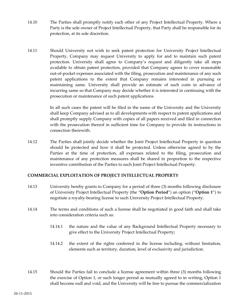- 14.10 The Parties shall promptly notify each other of any Project Intellectual Property. Where a Party is the sole owner of Project Intellectual Property, that Party shall be responsible for its protection, at its sole discretion.
- 14.11 Should University not wish to seek patent protection for University Project Intellectual Property, Company may request University to apply for and to maintain such patent protection. University shall agree to Company's request and diligently take all steps available to obtain patent protection, provided that Company agrees to cover reasonable out-of-pocket expenses associated with the filing, prosecution and maintenance of any such patent applications to the extent that Company remains interested in pursuing or maintaining same. University shall provide an estimate of such costs in advance of incurring same so that Company may decide whether it is interested in continuing with the prosecution or maintenance of such patent applications.

In all such cases the patent will be filed in the name of the University and the University shall keep Company advised as to all developments with respect to patent applications and shall promptly supply Company with copies of all papers received and filed in connection with the prosecution thereof in sufficient time for Company to provide its instructions in connection therewith.

14.12 The Parties shall jointly decide whether the Joint Project Intellectual Property in question should be protected and how it shall be protected. Unless otherwise agreed to by the Parties at the time of protection, all expenses related to the filing, prosecution and maintenance of any protection measures shall be shared in proportion to the respective inventive contribution of the Parties to such Joint Project Intellectual Property.

#### **COMMERCIAL EXPLOITATION OF PROJECT INTELLECTUAL PROPERTY**

- 14.13 University hereby grants to Company for a period of three (3) months following disclosure of University Project Intellectual Property (the "**Option Period**") an option ("**Option 1**") to negotiate a royalty-bearing license to such University Project Intellectual Property.
- 14.14 The terms and conditions of such a license shall be negotiated in good faith and shall take into consideration criteria such as:
	- 14.14.1 the nature and the value of any Background Intellectual Property necessary to give effect to the University Project Intellectual Property;
	- 14.14.2 the extent of the rights conferred in the license including, without limitation, elements such as territory, duration, level of exclusivity and jurisdiction.
- 14.15 Should the Parties fail to conclude a license agreement within three (3) months following the exercise of Option 1, or such longer period as mutually agreed to in writing, Option 1 shall become null and void, and the University will be free to pursue the commercialization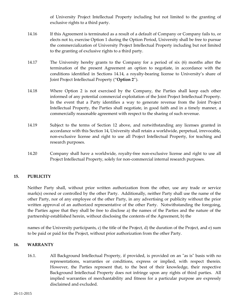of University Project Intellectual Property including but not limited to the granting of exclusive rights to a third party.

- 14.16 If this Agreement is terminated as a result of a default of Company or Company fails to, or elects not to, exercise Option 1 during the Option Period, University shall be free to pursue the commercialization of University Project Intellectual Property including but not limited to the granting of exclusive rights to a third party.
- 14.17 The University hereby grants to the Company for a period of six (6) months after the termination of the present Agreement an option to negotiate, in accordance with the conditions identified in Sections 14.14, a royalty-bearing license to University's share of Joint Project Intellectual Property ("**Option 2**").
- 14.18 Where Option 2 is not exercised by the Company, the Parties shall keep each other informed of any potential commercial exploitation of the Joint Project Intellectual Property. In the event that a Party identifies a way to generate revenue from the Joint Project Intellectual Property, the Parties shall negotiate, in good faith and in a timely manner, a commercially reasonable agreement with respect to the sharing of such revenue.
- 14.19 Subject to the terms of Section 12 above, and notwithstanding any licenses granted in accordance with this Section 14, University shall retain a worldwide, perpetual, irrevocable, non-exclusive license and right to use all Project Intellectual Property, for teaching and research purposes.
- 14.20 Company shall have a worldwide, royalty-free non-exclusive license and right to use all Project Intellectual Property, solely for non-commercial internal research purposes.

#### **15. PUBLICITY**

Neither Party shall, without prior written authorization from the other, use any trade or service mark(s) owned or controlled by the other Party. Additionally, neither Party shall use the name of the other Party, nor of any employee of the other Party, in any advertising or publicity without the prior written approval of an authorized representative of the other Party. Notwithstanding the foregoing, the Parties agree that they shall be free to disclose a) the names of the Parties and the nature of the partnership established herein, without disclosing the contents of the Agreement, b) the

names of the University participants, c) the title of the Project, d) the duration of the Project, and e) sum to be paid or paid for the Project, without prior authorization from the other Party.

#### **16. WARRANTY**

16.1. All Background Intellectual Property, if provided, is provided on an "as is" basis with no representations, warranties or conditions, express or implied, with respect therein. However, the Parties represent that, to the best of their knowledge, their respective Background Intellectual Property does not infringe upon any rights of third parties. All implied warranties of merchantability and fitness for a particular purpose are expressly disclaimed and excluded.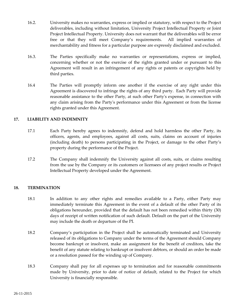- 16.2. University makes no warranties, express or implied or statutory, with respect to the Project deliverables, including without limitation, University Project Intellectual Property or Joint Project Intellectual Property. University does not warrant that the deliverables will be error free or that they will meet Company's requirements. All implied warranties of merchantability and fitness for a particular purpose are expressly disclaimed and excluded.
- 16.3. The Parties specifically make no warranties or representations, express or implied, concerning whether or not the exercise of the rights granted under or pursuant to this Agreement will result in an infringement of any rights or patents or copyrights held by third parties.
- 16.4 The Parties will promptly inform one another if the exercise of any right under this Agreement is discovered to infringe the rights of any third party. Each Party will provide reasonable assistance to the other Party, at such other Party's expense, in connection with any claim arising from the Party's performance under this Agreement or from the license rights granted under this Agreement.

# **17. LIABILITY AND INDEMNITY**

- 17.1 Each Party hereby agrees to indemnify, defend and hold harmless the other Party, its officers, agents, and employees, against all costs, suits, claims on account of injuries (including death) to persons participating in the Project, or damage to the other Party's property during the performance of the Project.
- 17.2 The Company shall indemnify the University against all costs, suits, or claims resulting from the use by the Company or its customers or licensees of any project results or Project Intellectual Property developed under the Agreement.

#### **18. TERMINATION**

- 18.1 In addition to any other rights and remedies available to a Party, either Party may immediately terminate this Agreement in the event of a default of the other Party of its obligations hereunder, provided that the default has not been remedied within thirty (30) days of receipt of written notification of such default. Default on the part of the University may include the death or departure of the PI.
- 18.2 Company's participation in the Project shall be automatically terminated and University released of its obligations to Company under the terms of the Agreement should Company become bankrupt or insolvent, make an assignment for the benefit of creditors, take the benefit of any statute relating to bankrupt or insolvent debtors, or should an order be made or a resolution passed for the winding up of Company.
- 18.3 Company shall pay for all expenses up to termination and for reasonable commitments made by University, prior to date of notice of default, related to the Project for which University is financially responsible.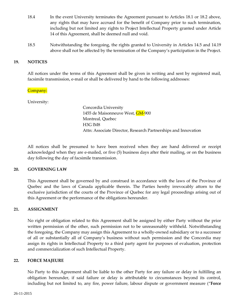- 18.4 In the event University terminates the Agreement pursuant to Articles 18.1 or 18.2 above, any rights that may have accrued for the benefit of Company prior to such termination, including but not limited any rights to Project Intellectual Property granted under Article 14 of this Agreement, shall be deemed null and void.
- 18.5 Notwithstanding the foregoing, the rights granted to University in Articles 14.5 and 14.19 above shall not be affected by the termination of the Company's participation in the Project.

#### **19. NOTICES**

All notices under the terms of this Agreement shall be given in writing and sent by registered mail, facsimile transmission, e-mail or shall be delivered by hand to the following addresses:

Company:

University:

 Concordia University 1455 de Maisonneuve West, GM-900 Montreal, Quebec H3G lM8 Attn: Associate Director, Research Partnerships and Innovation

All notices shall be presumed to have been received when they are hand delivered or receipt acknowledged when they are e-mailed, or five (5) business days after their mailing, or on the business day following the day of facsimile transmission.

#### **20. GOVERNING LAW**

This Agreement shall be governed by and construed in accordance with the laws of the Province of Quebec and the laws of Canada applicable therein. The Parties hereby irrevocably attorn to the exclusive jurisdiction of the courts of the Province of Quebec for any legal proceedings arising out of this Agreement or the performance of the obligations hereunder.

#### **21. ASSIGNMENT**

No right or obligation related to this Agreement shall be assigned by either Party without the prior written permission of the other, such permission not to be unreasonably withheld. Notwithstanding the foregoing, the Company may assign this Agreement to a wholly-owned subsidiary or to a successor of all or substantially all of Company's business without such permission and the Concordia may assign its rights in Intellectual Property to a third party agent for purposes of evaluation, protection and commercialization of such Intellectual Property.

#### **22. FORCE MAJEURE**

No Party to this Agreement shall be liable to the other Party for any failure or delay in fulfilling an obligation hereunder, if said failure or delay is attributable to circumstances beyond its control, including but not limited to, any fire, power failure, labour dispute or government measure ("**Force**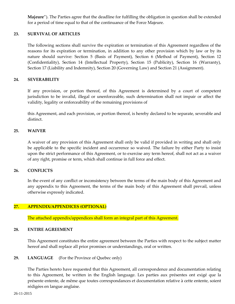**Majeure**"). The Parties agree that the deadline for fulfilling the obligation in question shall be extended for a period of time equal to that of the continuance of the Force Majeure.

#### **23. SURVIVAL OF ARTICLES**

The following sections shall survive the expiration or termination of this Agreement regardless of the reasons for its expiration or termination, in addition to any other provision which by law or by its nature should survive: Section 5 (Basis of Payment), Section 6 (Method of Payment), Section 12 (Confidentiality), Section 14 (Intellectual Property), Section 15 (Publicity), Section 16 (Warranty), Section 17 (Liability and Indemnity), Section 20 (Governing Law) and Section 21 (Assignment).

#### **24. SEVERABILITY**

If any provision, or portion thereof, of this Agreement is determined by a court of competent jurisdiction to be invalid, illegal or unenforceable, such determination shall not impair or affect the validity, legality or enforceability of the remaining provisions of

this Agreement, and each provision, or portion thereof, is hereby declared to be separate, severable and distinct.

#### **25. WAIVER**

A waiver of any provision of this Agreement shall only be valid if provided in writing and shall only be applicable to the specific incident and occurrence so waived. The failure by either Party to insist upon the strict performance of this Agreement, or to exercise any term hereof, shall not act as a waiver of any right, promise or term, which shall continue in full force and effect.

#### **26. CONFLICTS**

In the event of any conflict or inconsistency between the terms of the main body of this Agreement and any appendix to this Agreement, the terms of the main body of this Agreement shall prevail, unless otherwise expressly indicated.

# **27. APPENDIX/APPENDICES (OPTIONAL)**

The attached appendix/appendices shall form an integral part of this Agreement.

#### **28. ENTIRE AGREEMENT**

This Agreement constitutes the entire agreement between the Parties with respect to the subject matter hereof and shall replace all prior promises or understandings, oral or written.

#### **29. LANGUAGE** (For the Province of Quebec only)

The Parties hereto have requested that this Agreement, all correspondence and documentation relating to this Agreement, be written in the English language. Les parties aux présentes ont exigé que la présente entente, de même que toutes correspondances et documentation relative à cette entente, soient rédigées en langue anglaise.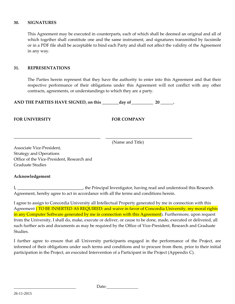#### **30. SIGNATURES**

This Agreement may be executed in counterparts, each of which shall be deemed an original and all of which together shall constitute one and the same instrument, and signatures transmitted by facsimile or in a PDF file shall be acceptable to bind each Party and shall not affect the validity of the Agreement in any way.

#### **31. REPRESENTATIONS**

The Parties herein represent that they have the authority to enter into this Agreement and that their respective performance of their obligations under this Agreement will not conflict with any other contracts, agreements, or understandings to which they are a party.

**AND THE PARTIES HAVE SIGNED, on this \_\_\_\_\_\_\_\_day of** \_\_\_\_\_\_\_\_\_\_ **20** \_\_\_\_\_\_**.**

**FOR UNIVERSITY FOR COMPANY**

(Name and Title)

\_\_\_\_\_\_\_\_\_\_\_\_\_\_\_\_\_\_\_\_\_\_\_\_\_\_\_\_\_\_\_\_\_\_\_\_\_\_\_\_\_

Associate Vice-President, Strategy and Operations Office of the Vice-President, Research and Graduate Studies

\_\_\_\_\_\_\_\_\_\_\_\_\_\_\_\_\_\_\_\_\_\_\_\_\_\_\_\_\_\_\_\_\_\_\_\_\_\_\_\_\_

#### **Acknowledgement**

I, \_\_\_\_\_\_\_\_\_\_\_\_\_\_\_\_\_\_\_\_\_\_\_\_\_\_\_\_\_\_\_, the Principal Investigator, having read and understood this Research Agreement, hereby agree to act in accordance with all the terms and conditions herein.

I agree to assign to Concordia University all Intellectual Property generated by me in connection with this Agreement (TO BE INSERTED AS REQUIRED: and waive in favor of Concordia University, my moral rights in any Computer Software generated by me in connection with this Agreement). Furthermore, upon request from the University, I shall do, make, execute or deliver, or cause to be done, made, executed or delivered, all such further acts and documents as may be required by the Office of Vice-President, Research and Graduate Studies.

I further agree to ensure that all University participants engaged in the performance of the Project, are informed of their obligations under such terms and conditions and to procure from them, prior to their initial participation in the Project, an executed Intervention of a Participant in the Project (Appendix C).

<u>Date: Expression and the particle</u> in the Date: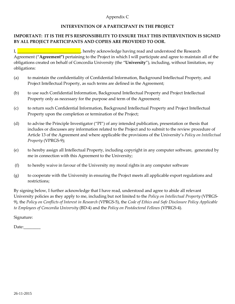# Appendix C

# **INTERVENTION OF A PARTICIPANT IN THE PROJECT**

# **IMPORTANT: IT IS THE PI'S RESPONSIBILITY TO ENSURE THAT THIS INTERVENTION IS SIGNED BY ALL PROJECT PARTICIPANTS AND COPIES ARE PROVIDED TO OOR.**

I, **Example 2.** The example of the example of the Research in the example of the Research in the Research in the Research Agreement ("**Agreement")** pertaining to the Project in which I will participate and agree to maintain all of the obligations created on behalf of Concordia University (the "**University**"), including, without limitation, my obligations:

- (a) to maintain the confidentiality of Confidential Information, Background Intellectual Property, and Project Intellectual Property, as such terms are defined in the Agreement;
- (b) to use such Confidential Information, Background Intellectual Property and Project Intellectual Property only as necessary for the purpose and term of the Agreement;
- (c) to return such Confidential Information, Background Intellectual Property and Project Intellectual Property upon the completion or termination of the Project;
- (d) to advise the Principle Investigator ("PI") of any intended publication, presentation or thesis that includes or discusses any information related to the Project and to submit to the review procedure of Article 13 of the Agreement and where applicable the provisions of the University's *Policy on Intellectual Property* (VPRGS-9);
- (e) to hereby assign all Intellectual Property, including copyright in any computer software, generated by me in connection with this Agreement to the University;
- (f) to hereby waive in favour of the University my moral rights in any computer software
- (g) to cooperate with the University in ensuring the Project meets all applicable export regulations and restrictions;

By signing below, I further acknowledge that I have read, understood and agree to abide all relevant University policies as they apply to me, including but not limited to the *Policy on Intellectual Property* (VPRGS-9), the *Policy on Conflicts of Interest in Research* (VPRGS-5), the *Code of Ethics and Safe Disclosure Policy Applicable to Employees of Concordia University* (BD-4) and the *Policy on Postdoctoral Fellows* (VPRGS-4).

Signature:

Date:\_\_\_\_\_\_\_\_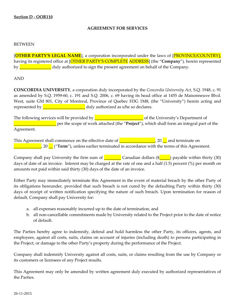#### **AGREEMENT FOR SERVICES**

#### BETWEEN

[**OTHER PARTY'S LEGAL NAME**], a corporation incorporated under the laws of [PROVINCE/COUNTRY], having its registered office at [OTHER PARTY'S COMPLETE ADDRESS] (the "**Company**"), herein represented by **DECOM** duly authorized to sign the present agreement on behalf of the Company.

#### AND

**CONCORDIA UNIVERSITY**, a corporation duly incorporated by the *Concordia University Act*, S.Q. 1948, c. 91 as amended by S.Q. 1959-60, c. 191 and S.Q. 2006, c. 69 having its head office at 1455 de Maisonneuve Blvd. West, suite GM 801, City of Montreal, Province of Quebec H3G 1M8, (the "University") herein acting and represented by **Quart Contains and Lucky authorized** as s/he so declares.

The following services will be provided by **\_\_\_\_\_\_\_\_\_\_\_\_\_\_\_\_\_\_\_\_** of the University's Department of \_\_\_\_\_\_\_\_\_\_\_\_\_\_\_\_\_\_\_\_ per the scope of work attached (the "**Project**"), which shall form an integral part of the Agreement.

This Agreement shall commence on the effective date of  $\Box$  and  $\Box$ , 20  $\Box$  and terminate on \_\_\_\_\_\_\_\_\_\_\_\_\_, 20 \_\_ ("**Term**"), unless earlier terminated in accordance with the terms of this Agreement.

Company shall pay University the firm sum of  $\Box$  Canadian dollars (\$ $\Box$ ) payable within thirty (30) days of date of an invoice. Interest may be charged at the rate of one and a half (1.5) percent (%) per month on amounts not paid within said thirty (30) days of the date of an invoice.

Either Party may immediately terminate this Agreement in the event of material breach by the other Party of its obligations hereunder, provided that such breach is not cured by the defaulting Party within thirty (30) days of receipt of written notification specifying the nature of such breach. Upon termination for reason of default, Company shall pay University for:

- a. all expenses reasonably incurred up to the date of termination, and
- b. all non-cancellable commitments made by University related to the Project prior to the date of notice of default.

The Parties hereby agree to indemnify, defend and hold harmless the other Party, its officers, agents, and employees, against all costs, suits, claims on account of injuries (including death) to persons participating in the Project, or damage to the other Party's property during the performance of the Project.

Company shall indemnify University against all costs, suits, or claims resulting from the use by Company or its customers or licensees of any Project results.

This Agreement may only be amended by written agreement duly executed by authorized representatives of the Parties.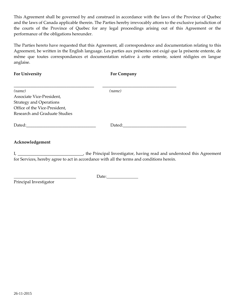This Agreement shall be governed by and construed in accordance with the laws of the Province of Quebec and the laws of Canada applicable therein. The Parties hereby irrevocably attorn to the exclusive jurisdiction of the courts of the Province of Quebec for any legal proceedings arising out of this Agreement or the performance of the obligations hereunder.

The Parties hereto have requested that this Agreement, all correspondence and documentation relating to this Agreement, be written in the English language. Les parties aux présentes ont exigé que la présente entente, de même que toutes correspondances et documentation relative à cette entente, soient rédigées en langue anglaise.

#### **For University For Company**

| (name)                         | (name)                                                |
|--------------------------------|-------------------------------------------------------|
| Associate Vice-President,      |                                                       |
| <b>Strategy and Operations</b> |                                                       |
| Office of the Vice-President,  |                                                       |
| Research and Graduate Studies  |                                                       |
| Dated:                         | Dated:                                                |
| Acknowledgement                |                                                       |
| T                              | the Dringinal Investigator having road and understood |

I, the Principal Investigator, having read and understood this Agreement for Services, hereby agree to act in accordance with all the terms and conditions herein.

Principal Investigator

Date: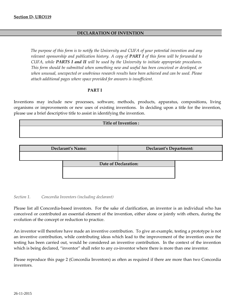#### **DECLARATION OF INVENTION**

*The purpose of this form is to notify the University and CUFA of your potential invention and any relevant sponsorship and publication history. A copy of PART I of this form will be forwarded to CUFA, while PARTS I and II will be used by the University to initiate appropriate procedures. This form should be submitted when something new and useful has been conceived or developed, or when unusual, unexpected or unobvious research results have been achieved and can be used. Please attach additional pages where space provided for answers is insufficient.*

#### **PART I**

Inventions may include new processes, software, methods, products, apparatus, compositions, living organisms or improvements or new uses of existing inventions. In deciding upon a title for the invention, please use a brief descriptive title to assist in identifying the invention.

#### **Title of Invention :**



*Section 1. Concordia Inventors (including declarant)*

Please list all Concordia-based inventors. For the sake of clarification, an inventor is an individual who has conceived or contributed an essential element of the invention, either alone or jointly with others, during the evolution of the concept or reduction to practice.

An inventor will therefore have made an inventive contribution. To give an example, testing a prototype is not an inventive contribution, while contributing ideas which lead to the improvement of the invention once the testing has been carried out, would be considered an inventive contribution. In the context of the invention which is being declared, "inventor" shall refer to any co-inventor where there is more than one inventor.

Please reproduce this page 2 (Concordia Inventors) as often as required if there are more than two Concordia inventors.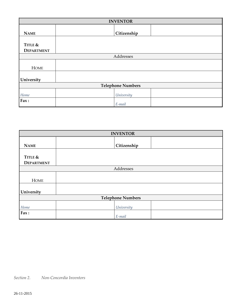| <b>INVENTOR</b>   |                          |  |  |  |
|-------------------|--------------------------|--|--|--|
|                   |                          |  |  |  |
| <b>NAME</b>       | Citizenship              |  |  |  |
|                   |                          |  |  |  |
| TITLE &           |                          |  |  |  |
| <b>DEPARTMENT</b> |                          |  |  |  |
|                   | Addresses                |  |  |  |
|                   |                          |  |  |  |
| <b>HOME</b>       |                          |  |  |  |
|                   |                          |  |  |  |
| University        |                          |  |  |  |
|                   | <b>Telephone Numbers</b> |  |  |  |
|                   |                          |  |  |  |
| Home              | University               |  |  |  |
| Fax:              | E-mail                   |  |  |  |

|                   | <b>INVENTOR</b> |                          |  |  |  |
|-------------------|-----------------|--------------------------|--|--|--|
|                   |                 |                          |  |  |  |
| <b>NAME</b>       |                 | Citizenship              |  |  |  |
|                   |                 |                          |  |  |  |
| TITLE &           |                 |                          |  |  |  |
| <b>DEPARTMENT</b> |                 |                          |  |  |  |
|                   |                 | Addresses                |  |  |  |
|                   |                 |                          |  |  |  |
| <b>HOME</b>       |                 |                          |  |  |  |
|                   |                 |                          |  |  |  |
| University        |                 |                          |  |  |  |
|                   |                 | <b>Telephone Numbers</b> |  |  |  |
|                   |                 |                          |  |  |  |
| Home              |                 | University               |  |  |  |
| Fax:              |                 | E-mail                   |  |  |  |

*Section 2. Non-Concordia Inventors*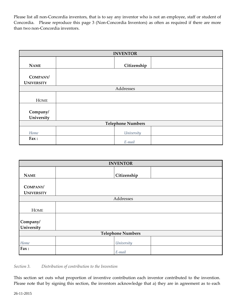Please list all non-Concordia inventors, that is to say any inventor who is not an employee, staff or student of Concordia. Please reproduce this page 3 (Non-Concordia Inventors) as often as required if there are more than two non-Concordia inventors.

|                               | <b>INVENTOR</b>          |  |  |  |  |
|-------------------------------|--------------------------|--|--|--|--|
| <b>NAME</b>                   | Citizenship              |  |  |  |  |
| COMPANY/<br><b>UNIVERSITY</b> |                          |  |  |  |  |
|                               | Addresses                |  |  |  |  |
| HOME                          |                          |  |  |  |  |
| Company/<br>University        |                          |  |  |  |  |
|                               | <b>Telephone Numbers</b> |  |  |  |  |
| Home                          | University               |  |  |  |  |
| Fax:                          | E-mail                   |  |  |  |  |

|                   | <b>INVENTOR</b>          |  |  |  |  |
|-------------------|--------------------------|--|--|--|--|
|                   |                          |  |  |  |  |
| <b>NAME</b>       | Citizenship              |  |  |  |  |
|                   |                          |  |  |  |  |
| COMPANY/          |                          |  |  |  |  |
| <b>UNIVERSITY</b> |                          |  |  |  |  |
|                   | Addresses                |  |  |  |  |
|                   |                          |  |  |  |  |
| HOME              |                          |  |  |  |  |
|                   |                          |  |  |  |  |
| Company/          |                          |  |  |  |  |
| University        |                          |  |  |  |  |
|                   | <b>Telephone Numbers</b> |  |  |  |  |
|                   |                          |  |  |  |  |
| Home              | University               |  |  |  |  |
| Fax:              | E-mail                   |  |  |  |  |

*Section 3. Distribution of contribution to the Invention*

This section set outs what proportion of inventive contribution each inventor contributed to the invention. Please note that by signing this section, the inventors acknowledge that a) they are in agreement as to each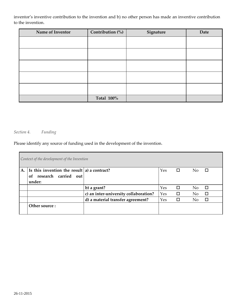inventor's inventive contribution to the invention and b) no other person has made an inventive contribution to the invention.

| Name of Inventor | Contribution (%)  | Signature | Date |
|------------------|-------------------|-----------|------|
|                  |                   |           |      |
|                  |                   |           |      |
|                  |                   |           |      |
|                  |                   |           |      |
|                  |                   |           |      |
|                  | <b>Total 100%</b> |           |      |

# *Section 4. Funding*

Please identify any source of funding used in the development of the invention.

|    | Context of the development of the Invention |                                       |     |        |                |        |
|----|---------------------------------------------|---------------------------------------|-----|--------|----------------|--------|
| A. | Is this invention the result a) a contract? |                                       | Yes | □      | N <sub>o</sub> | П      |
|    | research carried out<br><b>of</b>           |                                       |     |        |                |        |
|    | under:                                      |                                       |     |        |                |        |
|    |                                             | b) a grant?                           | Yes | □      | N <sub>0</sub> | □      |
|    |                                             | c) an inter-university collaboration? | Yes | $\Box$ | No             | $\Box$ |
|    |                                             | d) a material transfer agreement?     | Yes | $\Box$ | N <sub>0</sub> | П      |
|    | Other source:                               |                                       |     |        |                |        |
|    |                                             |                                       |     |        |                |        |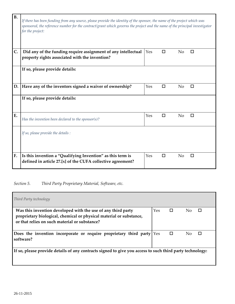| <b>B.</b> | If there has been funding from any source, please provide the identity of the sponsor, the name of the project which was<br>sponsored, the reference number for the contract/grant which governs the project and the name of the principal investigator<br>for the project: |     |        |                |        |
|-----------|-----------------------------------------------------------------------------------------------------------------------------------------------------------------------------------------------------------------------------------------------------------------------------|-----|--------|----------------|--------|
| C.        | Did any of the funding require assignment of any intellectual<br>property rights associated with the invention?                                                                                                                                                             | Yes | $\Box$ | N <sub>o</sub> | $\Box$ |
|           | If so, please provide details:                                                                                                                                                                                                                                              |     |        |                |        |
| D.        | Have any of the inventors signed a waiver of ownership?                                                                                                                                                                                                                     | Yes | $\Box$ | N <sub>o</sub> | $\Box$ |
|           | If so, please provide details:                                                                                                                                                                                                                                              |     |        |                |        |
| E.        | Has the invention been declared to the sponsor(s)?                                                                                                                                                                                                                          | Yes | $\Box$ | N <sub>o</sub> | $\Box$ |
|           | If so, please provide the details :                                                                                                                                                                                                                                         |     |        |                |        |
| F.        | Is this invention a "Qualifying Invention" as this term is<br>defined in article 27.[x] of the CUFA collective agreement?                                                                                                                                                   | Yes | $\Box$ | N <sub>o</sub> | $\Box$ |

*Section 5. Third Party Proprietary Material, Software, etc.*

| Third Party technology                                                                                                                                                               |     |   |                |  |
|--------------------------------------------------------------------------------------------------------------------------------------------------------------------------------------|-----|---|----------------|--|
| Was this invention developed with the use of any third party<br>proprietary biological, chemical or physical material or substance,<br>or that relies on such material or substance? | Yes |   | N <sub>o</sub> |  |
| Does the invention incorporate or require proprietary third party<br>software?                                                                                                       | Yes | □ | No.            |  |
| If so, please provide details of any contracts signed to give you access to such third party technology:                                                                             |     |   |                |  |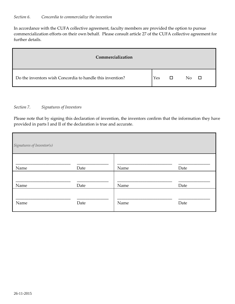In accordance with the CUFA collective agreement, faculty members are provided the option to pursue commercialization efforts on their own behalf. Please consult article 27 of the CUFA collective agreement for further details.

| Commercialization                                         |     |              |     |        |
|-----------------------------------------------------------|-----|--------------|-----|--------|
| Do the inventors wish Concordia to handle this invention? | Yes | $\mathbf{L}$ | No. | $\Box$ |

#### *Section 7. Signatures of Inventors*

Please note that by signing this declaration of invention, the inventors confirm that the information they have provided in parts I and II of the declaration is true and accurate.

| Signatures of Inventor(s) |      |      |      |  |  |
|---------------------------|------|------|------|--|--|
| Name                      | Date | Name | Date |  |  |
| Name                      | Date | Name | Date |  |  |
| Name                      | Date | Name | Date |  |  |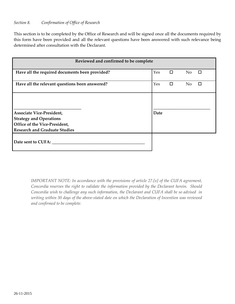#### *Section 8. Confirmation of Office of Research*

This section is to be completed by the Office of Research and will be signed once all the documents required by this form have been provided and all the relevant questions have been answered with such relevance being determined after consultation with the Declarant.

| Reviewed and confirmed to be complete          |      |        |                |   |
|------------------------------------------------|------|--------|----------------|---|
|                                                |      |        |                |   |
| Have all the required documents been provided? | Yes  | $\Box$ | N <sub>o</sub> | П |
|                                                | Yes  | $\Box$ | No             | П |
| Have all the relevant questions been answered? |      |        |                |   |
|                                                |      |        |                |   |
|                                                |      |        |                |   |
|                                                |      |        |                |   |
| Associate Vice-President,                      | Date |        |                |   |
| <b>Strategy and Operations</b>                 |      |        |                |   |
| Office of the Vice-President,                  |      |        |                |   |
| <b>Research and Graduate Studies</b>           |      |        |                |   |
|                                                |      |        |                |   |
| Date sent to CUFA:                             |      |        |                |   |
|                                                |      |        |                |   |

*IMPORTANT NOTE: In accordance with the provisions of article 27.[x] of the CUFA agreement, Concordia reserves the right to validate the information provided by the Declarant herein. Should Concordia wish to challenge any such information, the Declarant and CUFA shall be so advised in writing within 30 days of the above-stated date on which the Declaration of Invention was reviewed and confirmed to be complete.*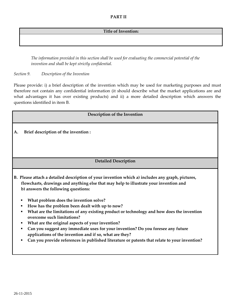# **PART II**

# **Title of Invention:**

*The information provided in this section shall be used for evaluating the commercial potential of the invention and shall be kept strictly confidential.*

*Section 9. Description of the Invention*

Please provide: i) a brief description of the invention which may be used for marketing purposes and must therefore not contain any confidential information (it should describe what the market applications are and what advantages it has over existing products) and ii) a more detailed description which answers the questions identified in item B.

### **Description of the Invention**

**A. Brief description of the invention :**

#### **Detailed Description**

- **B. Please attach a detailed description of your invention which a) includes any graph, pictures, flowcharts, drawings and anything else that may help to illustrate your invention and b) answers the following questions:**
	- **What problem does the invention solve?**
	- **How has the problem been dealt with up to now?**
	- **What are the limitations of any existing product or technology and how does the invention overcome such limitations?**
	- **What are the original aspects of your invention?**
	- **Can you suggest any immediate uses for your invention? Do you foresee any future applications of the invention and if so, what are they?**
	- **Can you provide references in published literature or patents that relate to your invention?**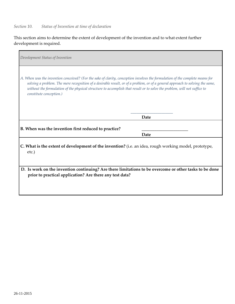This section aims to determine the extent of development of the invention and to what extent further development is required.

| Development Status of Invention                                                                                                                                                                                                                                                                                                                                                                                      |  |  |  |
|----------------------------------------------------------------------------------------------------------------------------------------------------------------------------------------------------------------------------------------------------------------------------------------------------------------------------------------------------------------------------------------------------------------------|--|--|--|
| A. When was the invention conceived? (For the sake of clarity, conception involves the formulation of the complete means for<br>solving a problem. The mere recognition of a desirable result, or of a problem, or of a general approach to solving the same,<br>without the formulation of the physical structure to accomplish that result or to solve the problem, will not suffice to<br>constitute conception.) |  |  |  |
| Date                                                                                                                                                                                                                                                                                                                                                                                                                 |  |  |  |
| B. When was the invention first reduced to practice?<br>Date                                                                                                                                                                                                                                                                                                                                                         |  |  |  |
| C. What is the extent of development of the invention? (i.e. an idea, rough working model, prototype,<br>etc.)                                                                                                                                                                                                                                                                                                       |  |  |  |
| D. Is work on the invention continuing? Are there limitations to be overcome or other tasks to be done<br>prior to practical application? Are there any test data?                                                                                                                                                                                                                                                   |  |  |  |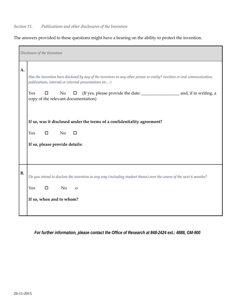# *Section 11. Publications and other disclosures of the Invention*

The answers provided to these questions might have a bearing on the ability to protect the invention.

|           | Disclosure of the Invention                                                                                                                                                                                                                                                                                                                                                                                               |
|-----------|---------------------------------------------------------------------------------------------------------------------------------------------------------------------------------------------------------------------------------------------------------------------------------------------------------------------------------------------------------------------------------------------------------------------------|
| A.        | Has the invention been disclosed by any of the inventors to any other person or entity? (written or oral communication,<br>publications, internal or external presentations etc)<br>Yes<br><b>No</b><br>$\Box$<br>$\Box$<br>copy of the relevant documentation)<br>If so, was it disclosed under the terms of a confidentiality agreement?<br>Yes<br>N <sub>o</sub><br>$\Box$<br>$\Box$<br>If so, please provide details: |
| <b>B.</b> | Do you intend to disclose the invention in any way (including student theses) over the course of the next 6 months?<br>Yes<br>N <sub>o</sub><br>$\Box$<br>$\Omega$<br>If so, when and to whom?                                                                                                                                                                                                                            |

*For further information, please contact the Office of Research at 848-2424 ext.: 4888, GM-900*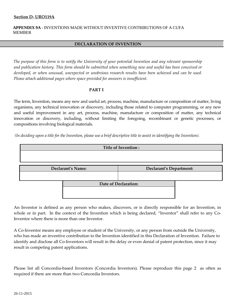#### **APPENDIX 9A** - INVENTIONS MADE WITHOUT INVENTIVE CONTRIBUTIONS OF A CUFA MEMBER

#### **DECLARATION OF INVENTION**

*The purpose of this form is to notify the University of your potential Invention and any relevant sponsorship and publication history. This form should be submitted when something new and useful has been conceived or developed, or when unusual, unexpected or unobvious research results have been achieved and can be used. Please attach additional pages where space provided for answers is insufficient.*

#### **PART I**

The term, Invention, means any new and useful art, process, machine, manufacture or composition of matter, living organisms, any technical innovation or discovery, including those related to computer programming, or any new and useful improvement in any art, process, machine, manufacture or composition of matter, any technical innovation or discovery, including, without limiting the foregoing, recombinant or genetic processes, or compositions involving biological materials.

*(In deciding upon a title for the Invention, please use a brief descriptive title to assist in identifying the Invention).*



An Inventor is defined as any person who makes, discovers, or is directly responsible for an Invention, in whole or in part. In the context of the Invention which is being declared, "Inventor" shall refer to any Co-Inventor where there is more than one Inventor.

A Co-Inventor means any employee or student of the University, or any person from outside the University, who has made an inventive contribution to the Invention identified in this Declaration of Invention. Failure to identify and disclose all Co-Inventors will result in the delay or even denial of patent protection, since it may result in competing patent applications.

Please list all Concordia-based Inventors (Concordia Inventors). Please reproduce this page 2 as often as required if there are more than two Concordia Inventors.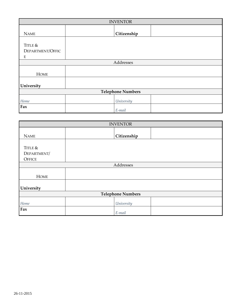| <b>INVENTOR</b>  |                          |  |  |  |
|------------------|--------------------------|--|--|--|
|                  |                          |  |  |  |
| <b>NAME</b>      | Citizenship              |  |  |  |
|                  |                          |  |  |  |
| TITLE &          |                          |  |  |  |
| DEPARTMENT/OFFIC |                          |  |  |  |
| E                |                          |  |  |  |
|                  | Addresses                |  |  |  |
|                  |                          |  |  |  |
| <b>HOME</b>      |                          |  |  |  |
|                  |                          |  |  |  |
| University       |                          |  |  |  |
|                  | <b>Telephone Numbers</b> |  |  |  |
|                  |                          |  |  |  |
| Home             | University               |  |  |  |
| Fax              | E-mail                   |  |  |  |

| <b>INVENTOR</b>          |             |  |  |  |
|--------------------------|-------------|--|--|--|
|                          |             |  |  |  |
| <b>NAME</b>              | Citizenship |  |  |  |
|                          |             |  |  |  |
| TITLE &                  |             |  |  |  |
| DEPARTMENT/              |             |  |  |  |
| <b>OFFICE</b>            |             |  |  |  |
|                          | Addresses   |  |  |  |
|                          |             |  |  |  |
| HOME                     |             |  |  |  |
|                          |             |  |  |  |
| University               |             |  |  |  |
| <b>Telephone Numbers</b> |             |  |  |  |
|                          |             |  |  |  |
| Home                     | University  |  |  |  |
| Fax                      | E-mail      |  |  |  |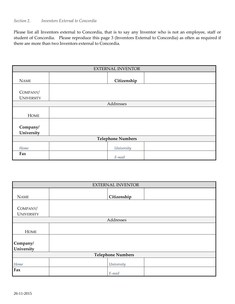#### *Section 2. Inventors External to Concordia*

Please list all Inventors external to Concordia, that is to say any Inventor who is not an employee, staff or student of Concordia. Please reproduce this page 3 (Inventors External to Concordia) as often as required if there are more than two Inventors external to Concordia.

|                   | <b>EXTERNAL INVENTOR</b> |  |  |  |  |
|-------------------|--------------------------|--|--|--|--|
|                   |                          |  |  |  |  |
| <b>NAME</b>       | Citizenship              |  |  |  |  |
|                   |                          |  |  |  |  |
| COMPANY/          |                          |  |  |  |  |
| <b>UNIVERSITY</b> |                          |  |  |  |  |
|                   | Addresses                |  |  |  |  |
|                   |                          |  |  |  |  |
| <b>HOME</b>       |                          |  |  |  |  |
|                   |                          |  |  |  |  |
| Company/          |                          |  |  |  |  |
| University        |                          |  |  |  |  |
|                   | <b>Telephone Numbers</b> |  |  |  |  |
|                   |                          |  |  |  |  |
| Home              | University               |  |  |  |  |
| Fax               | E-mail                   |  |  |  |  |
|                   |                          |  |  |  |  |

| <b>EXTERNAL INVENTOR</b> |                          |  |  |  |
|--------------------------|--------------------------|--|--|--|
|                          |                          |  |  |  |
| <b>NAME</b>              | Citizenship              |  |  |  |
|                          |                          |  |  |  |
| COMPANY/                 |                          |  |  |  |
| <b>UNIVERSITY</b>        |                          |  |  |  |
|                          | Addresses                |  |  |  |
|                          |                          |  |  |  |
| <b>HOME</b>              |                          |  |  |  |
|                          |                          |  |  |  |
| Company/                 |                          |  |  |  |
| University               |                          |  |  |  |
|                          | <b>Telephone Numbers</b> |  |  |  |
|                          |                          |  |  |  |
| Home                     | University               |  |  |  |
| Fax                      | E-mail                   |  |  |  |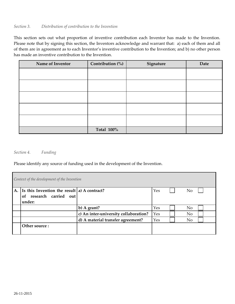#### *Section 3. Distribution of contribution to the Invention*

This section sets out what proportion of inventive contribution each Inventor has made to the Invention. Please note that by signing this section, the Inventors acknowledge and warrant that: a) each of them and all of them are in agreement as to each Inventor's inventive contribution to the Invention; and b) no other person has made an inventive contribution to the Invention.

| Name of Inventor | Contribution (%)  | Signature | Date |
|------------------|-------------------|-----------|------|
|                  |                   |           |      |
|                  |                   |           |      |
|                  |                   |           |      |
|                  |                   |           |      |
|                  |                   |           |      |
|                  | <b>Total 100%</b> |           |      |

*Section 4. Funding*

Please identify any source of funding used in the development of the Invention.

| Context of the development of the Invention    |                                       |     |  |                |
|------------------------------------------------|---------------------------------------|-----|--|----------------|
| A. Is this Invention the result a) A contract? |                                       | Yes |  | No.            |
| research carried out<br>of                     |                                       |     |  |                |
| under:                                         |                                       |     |  |                |
|                                                | b) A grant?                           | Yes |  | N <sub>o</sub> |
|                                                | c) An inter-university collaboration? | Yes |  | N <sub>o</sub> |
|                                                | d) A material transfer agreement?     | Yes |  | N <sub>o</sub> |
| Other source:                                  |                                       |     |  |                |
|                                                |                                       |     |  |                |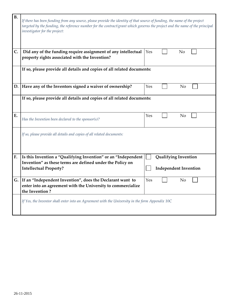| <b>B.</b> | If there has been funding from any source, please provide the identity of that source of funding, the name of the project<br>targeted by the funding, the reference number for the contract/grant which governs the project and the name of the principal<br>investigator for the project: |                              |
|-----------|--------------------------------------------------------------------------------------------------------------------------------------------------------------------------------------------------------------------------------------------------------------------------------------------|------------------------------|
| C.        | Did any of the funding require assignment of any intellectual<br>property rights associated with the Invention?                                                                                                                                                                            | Yes<br>N <sub>o</sub>        |
|           | If so, please provide all details and copies of all related documents:                                                                                                                                                                                                                     |                              |
| D.        | Have any of the Inventors signed a waiver of ownership?                                                                                                                                                                                                                                    | Yes<br>N <sub>o</sub>        |
|           | If so, please provide all details and copies of all related documents:                                                                                                                                                                                                                     |                              |
| E.        | Has the Invention been declared to the sponsor $(s)$ ?                                                                                                                                                                                                                                     | N <sub>o</sub><br>Yes        |
|           | If so, please provide all details and copies of all related documents:                                                                                                                                                                                                                     |                              |
| F.        | Is this Invention a "Qualifying Invention" or an "Independent<br>Invention" as these terms are defined under the Policy on                                                                                                                                                                 | <b>Qualifying Invention</b>  |
|           | <b>Intellectual Property?</b>                                                                                                                                                                                                                                                              | <b>Independent Invention</b> |
| G.        | If an "Independent Invention", does the Declarant want to                                                                                                                                                                                                                                  | Yes<br>N <sub>o</sub>        |
|           | enter into an agreement with the University to commercialize<br>the Invention?                                                                                                                                                                                                             |                              |
|           | If Yes, the Inventor shall enter into an Agreement with the University in the form Appendix 10C                                                                                                                                                                                            |                              |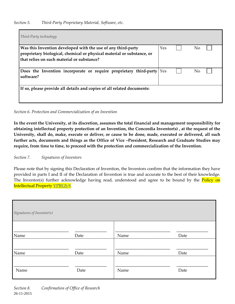| Third-Party technology                                                                                                                                                               |     |    |  |
|--------------------------------------------------------------------------------------------------------------------------------------------------------------------------------------|-----|----|--|
| Was this Invention developed with the use of any third-party<br>proprietary biological, chemical or physical material or substance, or<br>that relies on such material or substance? | Yes | No |  |
| Does the Invention incorporate or require proprietary third-party   Yes<br>software?                                                                                                 |     | No |  |
| If so, please provide all details and copies of all related documents:                                                                                                               |     |    |  |

*Section 6. Protection and Commercialization of an Invention*

**In the event the University, at its discretion, assumes the total financial and management responsibility for obtaining intellectual property protection of an Invention, the Concordia Inventor(s) , at the request of the University, shall do, make, execute or deliver, or cause to be done, made, executed or delivered, all such further acts, documents and things as the Office of Vice –President, Research and Graduate Studies may require, from time to time, to proceed with the protection and commercialization of the Invention.** 

*Section 7. Signatures of Inventors*

Please note that by signing this Declaration of Invention, the Inventors confirm that the information they have provided in parts I and II of the Declaration of Invention is true and accurate to the best of their knowledge. The Inventor(s) further acknowledge having read, understood and agree to be bound by the **Policy on** Intellectual Property [VPRGS-9.](http://www.concordia.ca/content/dam/common/docs/policies/official-policies/VPRGS-9.pdf)

| Signatures of Inventor(s) |      |      |      |  |  |
|---------------------------|------|------|------|--|--|
| Name                      | Date | Name | Date |  |  |
| Name                      | Date | Name | Date |  |  |
| Name                      | Date | Name | Date |  |  |

*Section 8. Confirmation of Office of Research* 26-11-2015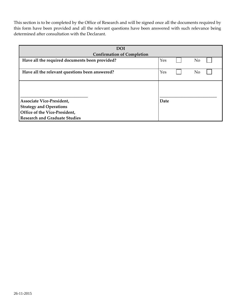This section is to be completed by the Office of Research and will be signed once all the documents required by this form have been provided and all the relevant questions have been answered with such relevance being determined after consultation with the Declarant.

| <b>DOI</b><br><b>Confirmation of Completion</b>                                                                                             |           |  |  |  |
|---------------------------------------------------------------------------------------------------------------------------------------------|-----------|--|--|--|
| Have all the required documents been provided?                                                                                              | Yes<br>No |  |  |  |
| Have all the relevant questions been answered?                                                                                              | Yes<br>No |  |  |  |
|                                                                                                                                             |           |  |  |  |
| <b>Associate Vice-President,</b><br><b>Strategy and Operations</b><br>Office of the Vice-President,<br><b>Research and Graduate Studies</b> | Date      |  |  |  |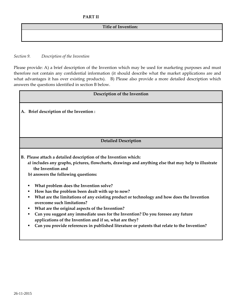# **Title of Invention:**

### *Section 9. Description of the Invention*

Please provide: A) a brief description of the Invention which may be used for marketing purposes and must therefore not contain any confidential information (it should describe what the market applications are and what advantages it has over existing products). B) Please also provide a more detailed description which answers the questions identified in section B below.

| Description of the Invention                                                                                                                                                                                                                                                                                                                                                                                                                                                                                                               |
|--------------------------------------------------------------------------------------------------------------------------------------------------------------------------------------------------------------------------------------------------------------------------------------------------------------------------------------------------------------------------------------------------------------------------------------------------------------------------------------------------------------------------------------------|
| A. Brief description of the Invention:                                                                                                                                                                                                                                                                                                                                                                                                                                                                                                     |
| <b>Detailed Description</b>                                                                                                                                                                                                                                                                                                                                                                                                                                                                                                                |
| B. Please attach a detailed description of the Invention which:<br>a) includes any graphs, pictures, flowcharts, drawings and anything else that may help to illustrate<br>the Invention and<br>b) answers the following questions:                                                                                                                                                                                                                                                                                                        |
| What problem does the Invention solve?<br>How has the problem been dealt with up to now?<br>$\blacksquare$<br>What are the limitations of any existing product or technology and how does the Invention<br>overcome such limitations?<br>What are the original aspects of the Invention?<br>п<br>Can you suggest any immediate uses for the Invention? Do you foresee any future<br>applications of the Invention and if so, what are they?<br>Can you provide references in published literature or patents that relate to the Invention? |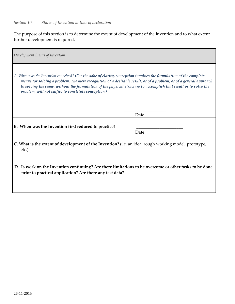The purpose of this section is to determine the extent of development of the Invention and to what extent further development is required.

| Development Status of Invention                                                                                                                                                                                                                                                                                                                                                                                      |  |  |
|----------------------------------------------------------------------------------------------------------------------------------------------------------------------------------------------------------------------------------------------------------------------------------------------------------------------------------------------------------------------------------------------------------------------|--|--|
| A. When was the Invention conceived? (For the sake of clarity, conception involves the formulation of the complete<br>means for solving a problem. The mere recognition of a desirable result, or of a problem, or of a general approach<br>to solving the same, without the formulation of the physical structure to accomplish that result or to solve the<br>problem, will not suffice to constitute conception.) |  |  |
| Date                                                                                                                                                                                                                                                                                                                                                                                                                 |  |  |
| B. When was the Invention first reduced to practice?<br>Date                                                                                                                                                                                                                                                                                                                                                         |  |  |
| <b>C. What is the extent of development of the Invention?</b> (i.e. an idea, rough working model, prototype,<br>etc.)                                                                                                                                                                                                                                                                                                |  |  |
| D. Is work on the Invention continuing? Are there limitations to be overcome or other tasks to be done<br>prior to practical application? Are there any test data?                                                                                                                                                                                                                                                   |  |  |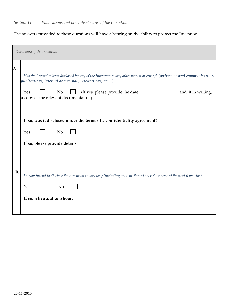# *Section 11. Publications and other disclosures of the Invention*

The answers provided to these questions will have a bearing on the ability to protect the Invention.

|           | Disclosure of the Invention                                                                                                                                                                                                                                                                                                                                                                                                                                                   |
|-----------|-------------------------------------------------------------------------------------------------------------------------------------------------------------------------------------------------------------------------------------------------------------------------------------------------------------------------------------------------------------------------------------------------------------------------------------------------------------------------------|
| A.        | Has the Invention been disclosed by any of the Inventors to any other person or entity? (written or oral communication,<br>publications, internal or external presentations, etc)<br>(If yes, please provide the date: __________________________ and, if in writing,<br>Yes<br>N <sub>o</sub><br>a copy of the relevant documentation)<br>If so, was it disclosed under the terms of a confidentiality agreement?<br>Yes<br>N <sub>o</sub><br>If so, please provide details: |
| <b>B.</b> | Do you intend to disclose the Invention in any way (including student theses) over the course of the next 6 months?<br>Yes<br>N <sub>o</sub><br>If so, when and to whom?                                                                                                                                                                                                                                                                                                      |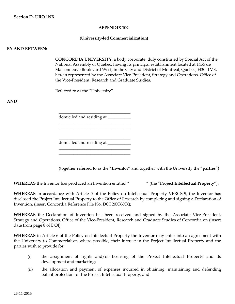#### **APPENDIX 10C**

#### **(University-led Commercialization)**

#### **BY AND BETWEEN:**

**CONCORDIA UNIVERSITY**, a body corporate, duly constituted by Special Act of the National Assembly of Quebec, having its principal establishment located at 1455 de Maisonneuve Boulevard West, in the City and District of Montreal, Quebec, H3G 1M8, herein represented by the Associate Vice-President, Strategy and Operations, Office of the Vice-President, Research and Graduate Studies.

Referred to as the "University"

**AND**

**\_\_\_\_\_\_\_\_\_\_\_\_\_\_\_\_\_\_\_\_\_\_\_\_\_\_\_\_\_\_\_\_\_\_** domiciled and residing at **\_\_\_\_\_\_\_\_\_\_\_**

**\_\_\_\_\_\_\_\_\_\_\_\_\_\_\_\_\_\_\_\_\_\_\_\_\_\_\_\_\_\_\_\_\_\_ \_\_\_\_\_\_\_\_\_\_\_\_\_\_\_\_\_\_\_\_\_\_\_\_\_\_\_\_\_\_\_\_\_\_**

**\_\_\_\_\_\_\_\_\_\_\_\_\_\_\_\_\_\_\_\_\_\_\_\_\_\_\_\_\_\_\_\_\_\_** domiciled and residing at **\_\_\_\_\_\_\_\_\_\_\_ \_\_\_\_\_\_\_\_\_\_\_\_\_\_\_\_\_\_\_\_\_\_\_\_\_\_\_\_\_\_\_\_\_\_**

**\_\_\_\_\_\_\_\_\_\_\_\_\_\_\_\_\_\_\_\_\_\_\_\_\_\_\_\_\_\_\_\_\_\_**

(together referred to as the "**Inventor**" and together with the University the "**parties**")

**WHEREAS** the Inventor has produced an Invention entitled " " (the "**Project Intellectual Property**");

**WHEREAS** in accordance with Article 5 of the Policy on Intellectual Property VPRGS-9, the Inventor has disclosed the Project Intellectual Property to the Office of Research by completing and signing a Declaration of Invention, (insert Concordia Reference File No. DOI 20XX-XX);

**WHEREAS** the Declaration of Invention has been received and signed by the Associate Vice-President, Strategy and Operations, Office of the Vice-President, Research and Graduate Studies of Concordia on (insert date from page 8 of DOI);

**WHEREAS** in Article 6 of the Policy on Intellectual Property the Inventor may enter into an agreement with the University to Commercialize, where possible, their interest in the Project Intellectual Property and the parties wish to provide for:

- (i) the assignment of rights and/or licensing of the Project Intellectual Property and its development and marketing;
- (ii) the allocation and payment of expenses incurred in obtaining, maintaining and defending patent protection for the Project Intellectual Property; and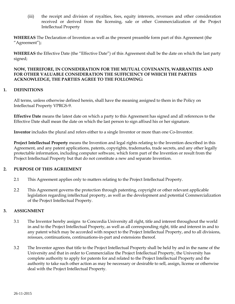(iii) the receipt and division of royalties, fees, equity interests, revenues and other consideration received or derived from the licensing, sale or other Commercialization of the Project Intellectual Property

**WHEREAS** The Declaration of Invention as well as the present preamble form part of this Agreement (the "Agreement");

**WHEREAS** the Effective Date (the "Effective Date") of this Agreement shall be the date on which the last party signed;

#### **NOW, THEREFORE, IN CONSIDERATION FOR THE MUTUAL COVENANTS, WARRANTIES AND FOR OTHER VALUABLE CONSIDERATION THE SUFFICIENCY OF WHICH THE PARTIES ACKNOWLEDGE, THE PARTIES AGREE TO THE FOLLOWING:**

### **1. DEFINITIONS**

All terms, unless otherwise defined herein, shall have the meaning assigned to them in the Policy on Intellectual Property VPRGS-9.

**Effective Date** means the latest date on which a party to this Agreement has signed and all references to the Effective Date shall mean the date on which the last person to sign affixed his or her signature.

**Inventor** includes the plural and refers either to a single Inventor or more than one Co-Inventor.

**Project Intellectual Property** means the Invention and legal rights relating to the Invention described in this Agreement, and any patent applications, patents, copyrights, trademarks, trade secrets, and any other legally protectable information, including computer software, which form part of the Invention or result from the Project Intellectual Property but that do not constitute a new and separate Invention.

# **2. PURPOSE OF THIS AGREEMENT**

- 2.1 This Agreement applies only to matters relating to the Project Intellectual Property.
- 2.2 This Agreement governs the protection through patenting, copyright or other relevant applicable legislation regarding intellectual property, as well as the development and potential Commercialization of the Project Intellectual Property.

#### **3. ASSIGNMENT**

- 3.1 The Inventor hereby assigns to Concordia University all right, title and interest throughout the world in and to the Project Intellectual Property, as well as all corresponding right, title and interest in and to any patent which may be accorded with respect to the Project Intellectual Property, and to all divisions, reissues, continuations, continuations-in-part and extensions thereof.
- 3.2 The Inventor agrees that title to the Project Intellectual Property shall be held by and in the name of the University and that in order to Commercialize the Project Intellectual Property, the University has complete authority to apply for patents for and related to the Project Intellectual Property and the authority to take such other action as may be necessary or desirable to sell, assign, license or otherwise deal with the Project Intellectual Property.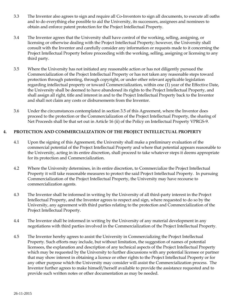- 3.3 The Inventor also agrees to sign and require all Co-Inventors to sign all documents, to execute all oaths and to do everything else possible to aid the University, its successors, assignees and nominees to obtain and enforce patent protection for the Project Intellectual Property.
- 3.4 The Inventor agrees that the University shall have control of the working, selling, assigning, or licensing or otherwise dealing with the Project Intellectual Property; however, the University shall consult with the Inventor and carefully consider any information or requests made to it concerning the Project Intellectual Property before proceeding with the working, selling, assigning or licensing to any third party.
- 3.5 Where the University has not initiated any reasonable action or has not diligently pursued the Commercialization of the Project Intellectual Property or has not taken any reasonable steps toward protection through patenting, through copyright, or under other relevant applicable legislation regarding intellectual property or toward Commercialization, within one (1) year of the Effective Date, the University shall be deemed to have abandoned its rights to the Project Intellectual Property, and shall assign all right, title and interest in and to the Project Intellectual Property back to the Inventor and shall not claim any costs or disbursements from the Inventor.
- 3.6 Under the circumstances contemplated in section 3.5 of this Agreement, where the Inventor does proceed to the protection or the Commercialization of the Project Intellectual Property, the sharing of Net Proceeds shall be that set out in Article 16 (ii) of the Policy on Intellectual Property VPRGS-9.

# **4. PROTECTION AND COMMERCIALIZATION OF THE PROJECT INTELLECTUAL PROPERTY**

- 4.1 Upon the signing of this Agreement, the University shall make a preliminary evaluation of the commercial potential of the Project Intellectual Property and where that potential appears reasonable to the University, acting in its entire discretion, shall proceed to take whatever steps it deems appropriate for its protection and Commercialization.
- 4.2 Where the University determines, in its entire discretion, to Commercialize the Project Intellectual Property it will take reasonable measures to protect the said Project Intellectual Property. In pursuing Commercialization of the Project Intellectual Property, the University may have recourse to commercialization agents.
- 4.3 The Inventor shall be informed in writing by the University of all third-party interest in the Project Intellectual Property, and the Inventor agrees to respect and sign, where requested to do so by the University, any agreement with third parties relating to the protection and Commercialization of the Project Intellectual Property.
- 4.4 The Inventor shall be informed in writing by the University of any material development in any negotiations with third parties involved in the Commercialization of the Project Intellectual Property.
- 4.5 The Inventor hereby agrees to assist the University in Commercializing the Project Intellectual Property. Such efforts may include, but without limitation, the suggestion of names of potential licensees, the explanation and description of any technical aspects of the Project Intellectual Property which may be requested by the University to further discussions with any potential licensee or partner that may show interest in obtaining a licence or other rights to the Project Intellectual Property or for any other purpose which the University may consider will assist the Commercialization process. The Inventor further agrees to make himself/herself available to provide the assistance requested and to provide such written notes or other documentation as may be needed.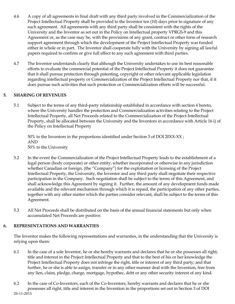- 4.6 A copy of all agreements in final draft with any third party involved in the Commercialization of the Project Intellectual Property shall be provided to the Inventor ten (10) days prior to signature of any such agreement. All agreements with any third party shall be consistent with the rights of the University and the Inventor as set out in the Policy on Intellectual property VPRGS-9 and this Agreement or, as the case may be, with the provisions of any grant, contract or other form of research support agreement through which the development of the Project Intellectual Property was funded either in whole or in part. The Inventor shall cooperate fully with the University by signing all lawful papers required to confirm or give full effect to any such agreement with third parties.
- 4.7 The Inventor understands clearly that although the University undertakes to use its best reasonable efforts to evaluate the commercial potential of the Project Intellectual Property it does not guarantee that it shall pursue protection through patenting, copyright or other relevant applicable legislation regarding intellectual property or Commercialization of the Project Intellectual Property nor that, if it does pursue such activities that such protection or Commercialization efforts will be successful.

# **5. SHARING OF REVENUES**

5.1 Subject to the terms of any third-party relationship established in accordance with section 4 hereto, where the University handles the protection and Commercialization activities relating to the Project Intellectual Property, all Net Proceeds related to the Commercialization of the Project Intellectual Property, shall be allocated between the University and the Inventors in accordance with Article 16 i) of the Policy on Intellectual Property

50% to the Inventors in the proportions identified under Section 3 of DOI 20XX-XX ; AND 50% to the University

- 5.2 In the event the Commercialization of the Project Intellectual Property leads to the establishment of a legal person (body corporate) or other entity, whether incorporated or otherwise in any jurisdiction whether Canadian or foreign, (the "Company") for the exploitation or licensing of the Project Intellectual Property, the University, the Inventor and any third party shall negotiate their respective participation in the Company. Such negotiation shall be subject to the terms of this Agreement, and shall acknowledge this Agreement by signing it. Further, the amount of any development funds made available and the relevant mechanism through which it is repaid, the participation of any other parties, together with any other matter which the parties consider relevant, shall be subject to the terms of this Agreement.
- 5.3 All Net Proceeds shall be distributed on the basis of the annual financial statements but only when accumulated Net Proceeds are positive.

# **6. REPRESENTATIONS AND WARRANTIES**

The Inventor makes the following representations and warranties, in the understanding that the University is relying upon them:

- 6.1 In the case of a sole Inventor, he or she hereby warrants and declares that he or she possesses all right, title and interest in the Project Intellectual Property and that to the best of his or her knowledge the Project Intellectual Property does not infringe the right, title or interest of any third party; and that further, he or she is able to assign, transfer or in any other manner deal with the Invention, free from any lien, claim, pledge, charge, mortgage, hypothec, debt or any other security interest of any kind.
- 6.2 In the case of Co-Inventors, each of the Co-Inventors, hereby warrants and declares that he or she possesses all right, title and interest in the Invention in the proportions set out in Section 3 of DOI 26-11-2015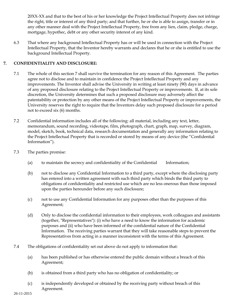20XX-XX and that to the best of his or her knowledge the Project Intellectual Property does not infringe the right, title or interest of any third party; and that further, he or she is able to assign, transfer or in any other manner deal with the Project Intellectual Property, free from any lien, claim, pledge, charge, mortgage, hypothec, debt or any other security interest of any kind.

6.3 That where any background Intellectual Property has or will be used in connection with the Project Intellectual Property, that the Inventor hereby warrants and declares that he or she is entitled to use the background Intellectual Property.

# **7. CONFIDENTIALITY AND DISCLOSURE:**

- 7.1 The whole of this section 7 shall survive the termination for any reason of this Agreement. The parties agree not to disclose and to maintain in confidence the Project Intellectual Property and any improvements. The Inventor shall advise the University in writing at least ninety (90) days in advance of any proposed disclosure relating to the Project Intellectual Property or improvements. If, at its sole discretion, the University determines that such a proposed disclosure may adversely affect the patentability or protection by any other means of the Project Intellectual Property or improvements, the University reserves the right to require that the Inventors delay such proposed disclosure for a period not to exceed six (6) months.
- 7.2 Confidential information includes all of the following: all material, including any text, letter, memorandum, sound recording, videotape, film, photograph, chart, graph, map, survey, diagram, model, sketch, book, technical data, research documentation and generally any information relating to the Project Intellectual Property that is recorded or stored by means of any device (the "Confidential Information").
- 7.3 The parties promise:
	- (a) to maintain the secrecy and confidentiality of the Confidential Information;
	- (b) not to disclose any Confidential Information to a third party, except where the disclosing party has entered into a written agreement with such third party which binds the third party to obligations of confidentiality and restricted use which are no less onerous than those imposed upon the parties hereunder before any such disclosure;
	- (c) not to use any Confidential Information for any purposes other than the purposes of this Agreement;
	- (d) Only to disclose the confidential information to their employees, work colleagues and assistants (together, "Representatives"): (i) who have a need to know the information for academic purposes and (ii) who have been informed of the confidential nature of the Confidential Information. The receiving parties warrant that they will take reasonable steps to prevent the Representatives from acting in a manner inconsistent with the terms of this Agreement.
- 7.4 The obligations of confidentiality set out above do not apply to information that:
	- (a) has been published or has otherwise entered the public domain without a breach of this Agreement;
	- (b) is obtained from a third party who has no obligation of confidentiality; or
	- (c) is independently developed or obtained by the receiving party without breach of this Agreement.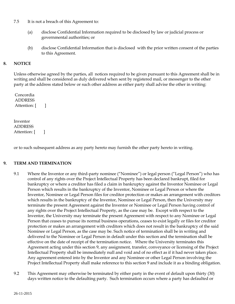- 7.5 It is not a breach of this Agreement to:
	- (a) disclose Confidential Information required to be disclosed by law or judicial process or governmental authorities; or
	- (b) disclose Confidential Information that is disclosed with the prior written consent of the parties to this Agreement.

#### **8. NOTICE**

Unless otherwise agreed by the parties, all notices required to be given pursuant to this Agreement shall be in writing and shall be considered as duly delivered when sent by registered mail, or messenger to the other party at the address stated below or such other address as either party shall advise the other in writing:

Concordia ADDRESS Attention: [ ]

Inventor ADDRESS Attention: [ ]

or to such subsequent address as any party hereto may furnish the other party hereto in writing.

#### **9. TERM AND TERMINATION**

- 9.1 Where the Inventor or any third-party nominee ("Nominee") or legal person ("Legal Person") who has control of any rights over the Project Intellectual Property has been declared bankrupt, filed for bankruptcy or where a creditor has filed a claim in bankruptcy against the Inventor Nominee or Legal Person which results in the bankruptcy of the Inventor, Nominee or Legal Person or where the Inventor, Nominee or Legal Person files for creditor protection or makes an arrangement with creditors which results in the bankruptcy of the Inventor, Nominee or Legal Person, then the University may terminate the present Agreement against the Inventor or Nominee or Legal Person having control of any rights over the Project Intellectual Property, as the case may be. Except with respect to the Inventor, the University may terminate the present Agreement with respect to any Nominee or Legal Person that ceases to pursue its normal business operations, ceases to exist legally or files for creditor protection or makes an arrangement with creditors which does not result in the bankruptcy of the said Nominee or Legal Person, as the case may be. Such notice of termination shall be in writing and delivered to the Nominee or Legal Person in default under this section and the termination shall be effective on the date of receipt of the termination notice. Where the University terminates this Agreement acting under this section 9, any assignment, transfer, conveyance or licensing of the Project Intellectual Property shall be immediately null and void and of no effect as if it had never taken place. Any agreement entered into by the Inventor and any Nominee or other Legal Person involving the Project Intellectual Property shall make reference to this section 9 and include it as a binding obligation.
- 9.2 This Agreement may otherwise be terminated by either party in the event of default upon thirty (30) days written notice to the defaulting party. Such termination occurs where a party has defaulted or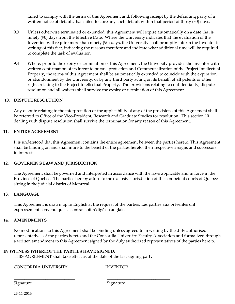failed to comply with the terms of this Agreement and, following receipt by the defaulting party of a written notice of default, has failed to cure any such default within that period of thirty (30) days.

- 9.3 Unless otherwise terminated or extended, this Agreement will expire automatically on a date that is ninety (90) days from the Effective Date. Where the University indicates that the evaluation of the Invention will require more than ninety (90) days, the University shall promptly inform the Inventor in writing of this fact, indicating the reasons therefore and indicate what additional time will be required to complete the task of evaluation.
- 9.4 Where, prior to the expiry or termination of this Agreement, the University provides the Inventor with written confirmation of its intent to pursue protection and Commercialization of the Project Intellectual Property, the terms of this Agreement shall be automatically extended to coincide with the expiration or abandonment by the University, or by any third party acting on its behalf, of all patents or other rights relating to the Project Intellectual Property. The provisions relating to confidentiality, dispute resolution and all waivers shall survive the expiry or termination of this Agreement.

#### **10. DISPUTE RESOLUTION**

Any dispute relating to the interpretation or the applicability of any of the provisions of this Agreement shall be referred to Office of the Vice-President, Research and Graduate Studies for resolution. This section 10 dealing with dispute resolution shall survive the termination for any reason of this Agreement.

#### **11. ENTIRE AGREEMENT**

It is understood that this Agreement contains the entire agreement between the parties hereto. This Agreement shall be binding on and shall inure to the benefit of the parties hereto, their respective assigns and successors in interest.

#### **12. GOVERNING LAW AND JURISDICTION**

The Agreement shall be governed and interpreted in accordance with the laws applicable and in force in the Province of Quebec. The parties hereby attorn to the exclusive jurisdiction of the competent courts of Quebec sitting in the judicial district of Montreal.

#### **13. LANGUAGE**

This Agreement is drawn up in English at the request of the parties. Les parties aux présentes ont expressément convenu que ce contrat soit rédigé en anglais.

#### **14. AMENDMENTS**

No modifications to this Agreement shall be binding unless agreed to in writing by the duly authorised representatives of the parties hereto and the Concordia University Faculty Association and formalized through a written amendment to this Agreement signed by the duly authorized representatives of the parties hereto.

#### **IN WITNESS WHEREOF THE PARTIES HAVE SIGNED:**

THIS AGREEMENT shall take effect as of the date of the last signing party

 $\overline{\phantom{a}}$  , and the contract of the contract of the contract of the contract of the contract of the contract of the contract of the contract of the contract of the contract of the contract of the contract of the contrac

CONCORDIA UNIVERSITY INVENTOR

Signature Signature Signature

26-11-2015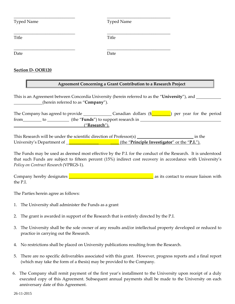| <b>Typed Name</b>                                                                                 | <b>Typed Name</b>                                                                                                                                                                                                           |                                       |
|---------------------------------------------------------------------------------------------------|-----------------------------------------------------------------------------------------------------------------------------------------------------------------------------------------------------------------------------|---------------------------------------|
|                                                                                                   |                                                                                                                                                                                                                             |                                       |
| Title                                                                                             | Title                                                                                                                                                                                                                       |                                       |
| Date                                                                                              | Date                                                                                                                                                                                                                        |                                       |
| <b>Section D-OOR120</b>                                                                           |                                                                                                                                                                                                                             |                                       |
|                                                                                                   | Agreement Concerning a Grant Contribution to a Research Project                                                                                                                                                             |                                       |
| (herein referred to as "Company").                                                                | This is an Agreement between Concordia University (herein referred to as the "University"), and __________                                                                                                                  |                                       |
|                                                                                                   |                                                                                                                                                                                                                             |                                       |
| <u>("Research").</u>                                                                              |                                                                                                                                                                                                                             |                                       |
|                                                                                                   | This Research will be under the scientific direction of Professor(s) _______________________________ in the<br>University's Department of <u>Universe Communications (the "Principle Investigator" or the "P.I.").</u>      |                                       |
|                                                                                                   |                                                                                                                                                                                                                             |                                       |
| Policy on Contract Research (VPRGS-1).                                                            | The Funds may be used as deemed most effective by the P.I. for the conduct of the Research. It is understood<br>that such Funds are subject to fifteen percent (15%) indirect cost recovery in accordance with University's |                                       |
| Company hereby designates <b>Fig. 2016</b> Company hereby designates <b>Fig. 2016</b><br>the P.I. |                                                                                                                                                                                                                             | as its contact to ensure liaison with |
| The Parties herein agree as follows:                                                              |                                                                                                                                                                                                                             |                                       |

- 1. The University shall administer the Funds as a grant
- 2. The grant is awarded in support of the Research that is entirely directed by the P.I.
- 3. The University shall be the sole owner of any results and/or intellectual property developed or reduced to practice in carrying out the Research.
- 4. No restrictions shall be placed on University publications resulting from the Research.
- 5. There are no specific deliverables associated with this grant. However, progress reports and a final report (which may take the form of a thesis) may be provided to the Company.
- 6. The Company shall remit payment of the first year's installment to the University upon receipt of a duly executed copy of this Agreement. Subsequent annual payments shall be made to the University on each anniversary date of this Agreement.